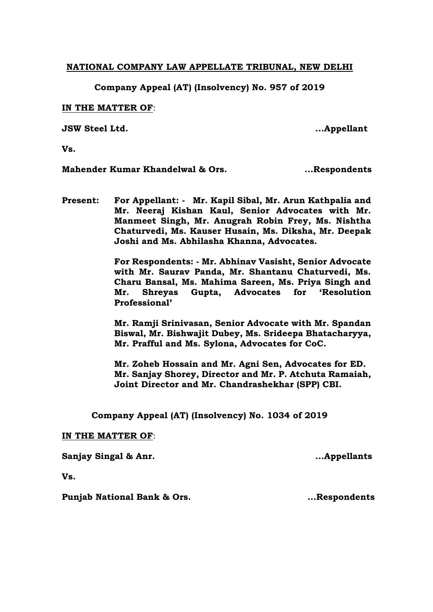## **NATIONAL COMPANY LAW APPELLATE TRIBUNAL, NEW DELHI**

**Company Appeal (AT) (Insolvency) No. 957 of 2019**

## **IN THE MATTER OF**:

**JSW Steel Ltd. ...Appellant**

**Vs.**

**Mahender Kumar Khandelwal & Ors.** ... Respondents

**Present: For Appellant: - Mr. Kapil Sibal, Mr. Arun Kathpalia and Mr. Neeraj Kishan Kaul, Senior Advocates with Mr. Manmeet Singh, Mr. Anugrah Robin Frey, Ms. Nishtha Chaturvedi, Ms. Kauser Husain, Ms. Diksha, Mr. Deepak Joshi and Ms. Abhilasha Khanna, Advocates.** 

> **For Respondents: - Mr. Abhinav Vasisht, Senior Advocate with Mr. Saurav Panda, Mr. Shantanu Chaturvedi, Ms. Charu Bansal, Ms. Mahima Sareen, Ms. Priya Singh and Mr. Shreyas Gupta, Advocates for 'Resolution Professional'**

> **Mr. Ramji Srinivasan, Senior Advocate with Mr. Spandan Biswal, Mr. Bishwajit Dubey, Ms. Srideepa Bhatacharyya, Mr. Prafful and Ms. Sylona, Advocates for CoC.**

> **Mr. Zoheb Hossain and Mr. Agni Sen, Advocates for ED. Mr. Sanjay Shorey, Director and Mr. P. Atchuta Ramaiah, Joint Director and Mr. Chandrashekhar (SPP) CBI.**

**Company Appeal (AT) (Insolvency) No. 1034 of 2019**

## **IN THE MATTER OF**:

**Sanjay Singal & Anr. ...Appellants**

**Vs.**

**Punjab National Bank & Ors. 1988 1988 1988 1988 1988 1988 1988 1988 1988 1988 1988 1988 1988 1988 1988 1988 1988 1988 1988 1988 1988 1988 1988 1988 1988 1988 1988 19**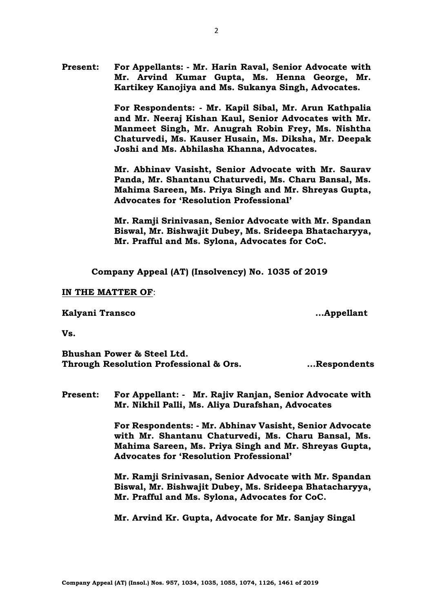**For Respondents: - Mr. Kapil Sibal, Mr. Arun Kathpalia and Mr. Neeraj Kishan Kaul, Senior Advocates with Mr. Manmeet Singh, Mr. Anugrah Robin Frey, Ms. Nishtha Chaturvedi, Ms. Kauser Husain, Ms. Diksha, Mr. Deepak Joshi and Ms. Abhilasha Khanna, Advocates.**

**Mr. Abhinav Vasisht, Senior Advocate with Mr. Saurav Panda, Mr. Shantanu Chaturvedi, Ms. Charu Bansal, Ms. Mahima Sareen, Ms. Priya Singh and Mr. Shreyas Gupta, Advocates for 'Resolution Professional'**

**Mr. Ramji Srinivasan, Senior Advocate with Mr. Spandan Biswal, Mr. Bishwajit Dubey, Ms. Srideepa Bhatacharyya, Mr. Prafful and Ms. Sylona, Advocates for CoC.**

**Company Appeal (AT) (Insolvency) No. 1035 of 2019**

#### **IN THE MATTER OF**:

#### **Kalyani Transco ...Appellant**

**Vs.**

**Bhushan Power & Steel Ltd. Through Resolution Professional & Ors. ...Respondents**

**Present: For Appellant: - Mr. Rajiv Ranjan, Senior Advocate with Mr. Nikhil Palli, Ms. Aliya Durafshan, Advocates**

> **For Respondents: - Mr. Abhinav Vasisht, Senior Advocate with Mr. Shantanu Chaturvedi, Ms. Charu Bansal, Ms. Mahima Sareen, Ms. Priya Singh and Mr. Shreyas Gupta, Advocates for 'Resolution Professional'**

> **Mr. Ramji Srinivasan, Senior Advocate with Mr. Spandan Biswal, Mr. Bishwajit Dubey, Ms. Srideepa Bhatacharyya, Mr. Prafful and Ms. Sylona, Advocates for CoC.**

**Mr. Arvind Kr. Gupta, Advocate for Mr. Sanjay Singal**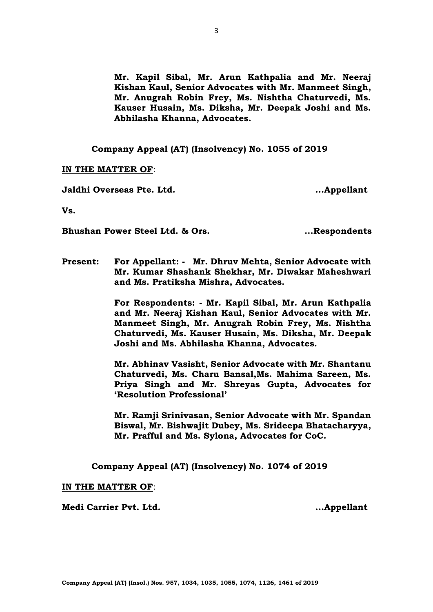**Mr. Kapil Sibal, Mr. Arun Kathpalia and Mr. Neeraj Kishan Kaul, Senior Advocates with Mr. Manmeet Singh, Mr. Anugrah Robin Frey, Ms. Nishtha Chaturvedi, Ms. Kauser Husain, Ms. Diksha, Mr. Deepak Joshi and Ms. Abhilasha Khanna, Advocates.**

**Company Appeal (AT) (Insolvency) No. 1055 of 2019**

## **IN THE MATTER OF**:

**Jaldhi Overseas Pte. Ltd. ...Appellant**

**Vs.**

**Bhushan Power Steel Ltd. & Ors. ...Respondents**

**Present: For Appellant: - Mr. Dhruv Mehta, Senior Advocate with Mr. Kumar Shashank Shekhar, Mr. Diwakar Maheshwari and Ms. Pratiksha Mishra, Advocates.**

> **For Respondents: - Mr. Kapil Sibal, Mr. Arun Kathpalia and Mr. Neeraj Kishan Kaul, Senior Advocates with Mr. Manmeet Singh, Mr. Anugrah Robin Frey, Ms. Nishtha Chaturvedi, Ms. Kauser Husain, Ms. Diksha, Mr. Deepak Joshi and Ms. Abhilasha Khanna, Advocates.**

> **Mr. Abhinav Vasisht, Senior Advocate with Mr. Shantanu Chaturvedi, Ms. Charu Bansal,Ms. Mahima Sareen, Ms. Priya Singh and Mr. Shreyas Gupta, Advocates for 'Resolution Professional'**

> **Mr. Ramji Srinivasan, Senior Advocate with Mr. Spandan Biswal, Mr. Bishwajit Dubey, Ms. Srideepa Bhatacharyya, Mr. Prafful and Ms. Sylona, Advocates for CoC.**

**Company Appeal (AT) (Insolvency) No. 1074 of 2019**

## **IN THE MATTER OF**:

**Medi Carrier Pvt. Ltd. ...Appellant**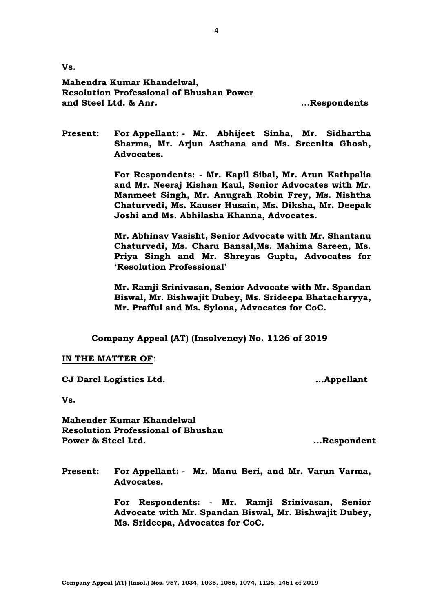**Vs.**

**Mahendra Kumar Khandelwal, Resolution Professional of Bhushan Power and Steel Ltd. & Anr. ...Respondents**

**Present: For Appellant: - Mr. Abhijeet Sinha, Mr. Sidhartha Sharma, Mr. Arjun Asthana and Ms. Sreenita Ghosh, Advocates.**

> **For Respondents: - Mr. Kapil Sibal, Mr. Arun Kathpalia and Mr. Neeraj Kishan Kaul, Senior Advocates with Mr. Manmeet Singh, Mr. Anugrah Robin Frey, Ms. Nishtha Chaturvedi, Ms. Kauser Husain, Ms. Diksha, Mr. Deepak Joshi and Ms. Abhilasha Khanna, Advocates.**

> **Mr. Abhinav Vasisht, Senior Advocate with Mr. Shantanu Chaturvedi, Ms. Charu Bansal,Ms. Mahima Sareen, Ms. Priya Singh and Mr. Shreyas Gupta, Advocates for 'Resolution Professional'**

> **Mr. Ramji Srinivasan, Senior Advocate with Mr. Spandan Biswal, Mr. Bishwajit Dubey, Ms. Srideepa Bhatacharyya, Mr. Prafful and Ms. Sylona, Advocates for CoC.**

**Company Appeal (AT) (Insolvency) No. 1126 of 2019**

#### **IN THE MATTER OF**:

**CJ Darcl Logistics Ltd. ...Appellant**

**Vs.**

**Mahender Kumar Khandelwal Resolution Professional of Bhushan Power & Steel Ltd. ...Respondent**

**Present: For Appellant: - Mr. Manu Beri, and Mr. Varun Varma, Advocates.**

> **For Respondents: - Mr. Ramji Srinivasan, Senior Advocate with Mr. Spandan Biswal, Mr. Bishwajit Dubey, Ms. Srideepa, Advocates for CoC.**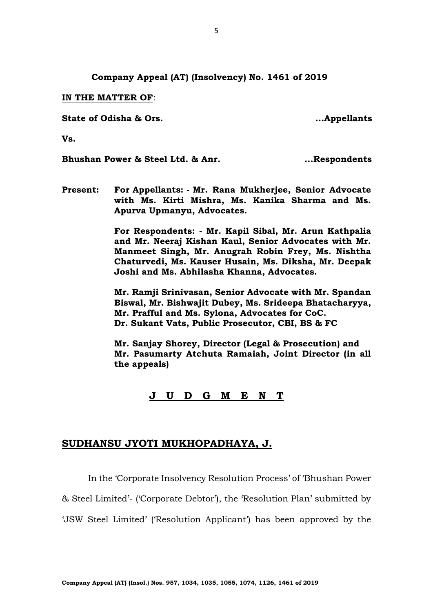**Company Appeal (AT) (Insolvency) No. 1461 of 2019**

**IN THE MATTER OF**:

**State of Odisha & Ors. ...Appellants**

**Vs.**

**Bhushan Power & Steel Ltd. & Anr.** ... Respondents

**Present: For Appellants: - Mr. Rana Mukherjee, Senior Advocate with Ms. Kirti Mishra, Ms. Kanika Sharma and Ms. Apurva Upmanyu, Advocates.**

> **For Respondents: - Mr. Kapil Sibal, Mr. Arun Kathpalia and Mr. Neeraj Kishan Kaul, Senior Advocates with Mr. Manmeet Singh, Mr. Anugrah Robin Frey, Ms. Nishtha Chaturvedi, Ms. Kauser Husain, Ms. Diksha, Mr. Deepak Joshi and Ms. Abhilasha Khanna, Advocates.**

> **Mr. Ramji Srinivasan, Senior Advocate with Mr. Spandan Biswal, Mr. Bishwajit Dubey, Ms. Srideepa Bhatacharyya, Mr. Prafful and Ms. Sylona, Advocates for CoC. Dr. Sukant Vats, Public Prosecutor, CBI, BS & FC**

> **Mr. Sanjay Shorey, Director (Legal & Prosecution) and Mr. Pasumarty Atchuta Ramaiah, Joint Director (in all the appeals)**

# **J U D G M E N T**

# **SUDHANSU JYOTI MUKHOPADHAYA, J.**

In the 'Corporate Insolvency Resolution Process' of 'Bhushan Power

& Steel Limited'- ('Corporate Debtor'), the 'Resolution Plan' submitted by

'JSW Steel Limited' ('Resolution Applicant') has been approved by the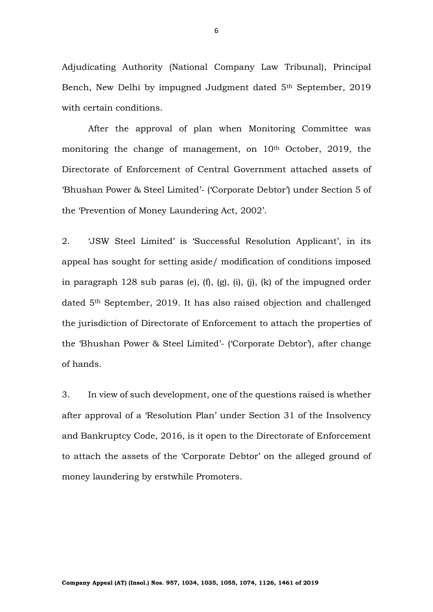Adjudicating Authority (National Company Law Tribunal), Principal Bench, New Delhi by impugned Judgment dated 5<sup>th</sup> September, 2019 with certain conditions.

After the approval of plan when Monitoring Committee was monitoring the change of management, on 10<sup>th</sup> October, 2019, the Directorate of Enforcement of Central Government attached assets of 'Bhushan Power & Steel Limited'- ('Corporate Debtor') under Section 5 of the 'Prevention of Money Laundering Act, 2002'.

2. 'JSW Steel Limited' is 'Successful Resolution Applicant', in its appeal has sought for setting aside/ modification of conditions imposed in paragraph 128 sub paras (e),  $(f)$ ,  $(g)$ ,  $(i)$ ,  $(j)$ ,  $(k)$  of the impugned order dated 5th September, 2019. It has also raised objection and challenged the jurisdiction of Directorate of Enforcement to attach the properties of the 'Bhushan Power & Steel Limited'- ('Corporate Debtor'), after change of hands.

3. In view of such development, one of the questions raised is whether after approval of a 'Resolution Plan' under Section 31 of the Insolvency and Bankruptcy Code, 2016, is it open to the Directorate of Enforcement to attach the assets of the 'Corporate Debtor' on the alleged ground of money laundering by erstwhile Promoters.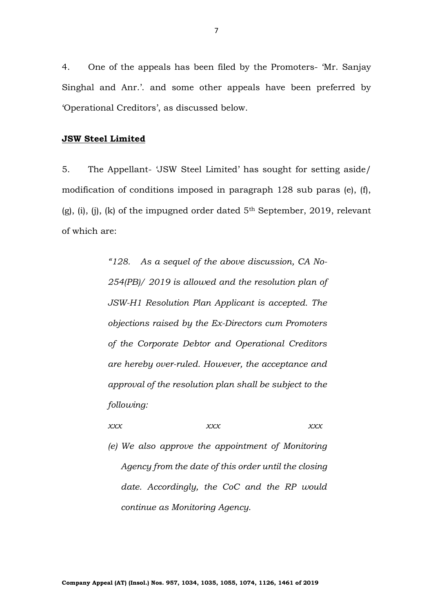4. One of the appeals has been filed by the Promoters- 'Mr. Sanjay Singhal and Anr.'. and some other appeals have been preferred by 'Operational Creditors', as discussed below.

# **JSW Steel Limited**

5. The Appellant- 'JSW Steel Limited' has sought for setting aside/ modification of conditions imposed in paragraph 128 sub paras (e), (f),  $(g)$ , (i), (i), (k) of the impugned order dated  $5<sup>th</sup>$  September, 2019, relevant of which are:

> *"128. As a sequel of the above discussion, CA No-254(PB)/ 2019 is allowed and the resolution plan of JSW-H1 Resolution Plan Applicant is accepted. The objections raised by the Ex-Directors cum Promoters of the Corporate Debtor and Operational Creditors are hereby over-ruled. However, the acceptance and approval of the resolution plan shall be subject to the following:*

*xxx xxx xxx*

*(e) We also approve the appointment of Monitoring Agency from the date of this order until the closing date. Accordingly, the CoC and the RP would continue as Monitoring Agency.*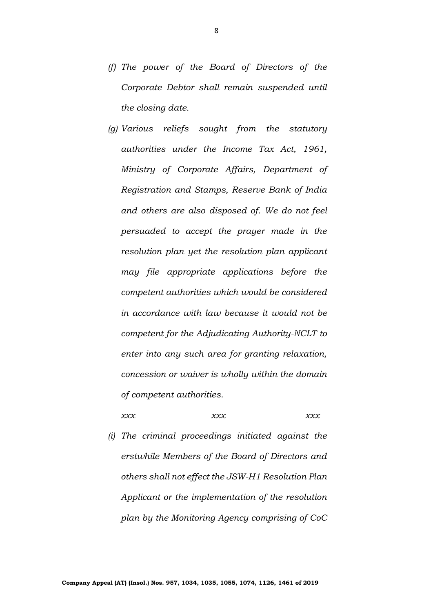- *(f) The power of the Board of Directors of the Corporate Debtor shall remain suspended until the closing date.*
- *(g) Various reliefs sought from the statutory authorities under the Income Tax Act, 1961, Ministry of Corporate Affairs, Department of Registration and Stamps, Reserve Bank of India and others are also disposed of. We do not feel persuaded to accept the prayer made in the resolution plan yet the resolution plan applicant may file appropriate applications before the competent authorities which would be considered in accordance with law because it would not be competent for the Adjudicating Authority-NCLT to enter into any such area for granting relaxation, concession or waiver is wholly within the domain of competent authorities.*

## *xxx xxx xxx*

*(i) The criminal proceedings initiated against the erstwhile Members of the Board of Directors and others shall not effect the JSW-H1 Resolution Plan Applicant or the implementation of the resolution plan by the Monitoring Agency comprising of CoC*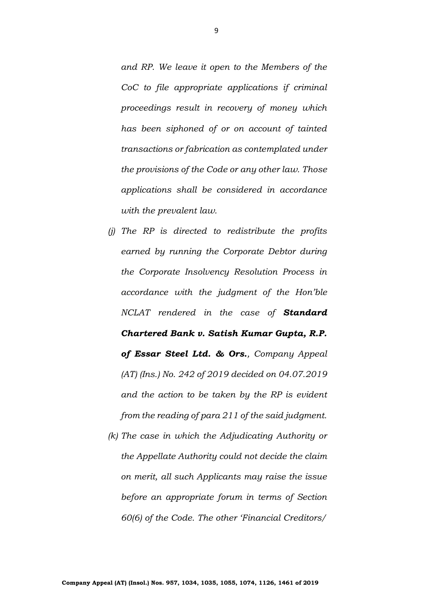*and RP. We leave it open to the Members of the CoC to file appropriate applications if criminal proceedings result in recovery of money which has been siphoned of or on account of tainted transactions or fabrication as contemplated under the provisions of the Code or any other law. Those applications shall be considered in accordance with the prevalent law.*

- *(j) The RP is directed to redistribute the profits earned by running the Corporate Debtor during the Corporate Insolvency Resolution Process in accordance with the judgment of the Hon'ble NCLAT rendered in the case of Standard Chartered Bank v. Satish Kumar Gupta, R.P. of Essar Steel Ltd. & Ors., Company Appeal (AT) (Ins.) No. 242 of 2019 decided on 04.07.2019 and the action to be taken by the RP is evident from the reading of para 211 of the said judgment.*
- *(k) The case in which the Adjudicating Authority or the Appellate Authority could not decide the claim on merit, all such Applicants may raise the issue before an appropriate forum in terms of Section 60(6) of the Code. The other 'Financial Creditors/*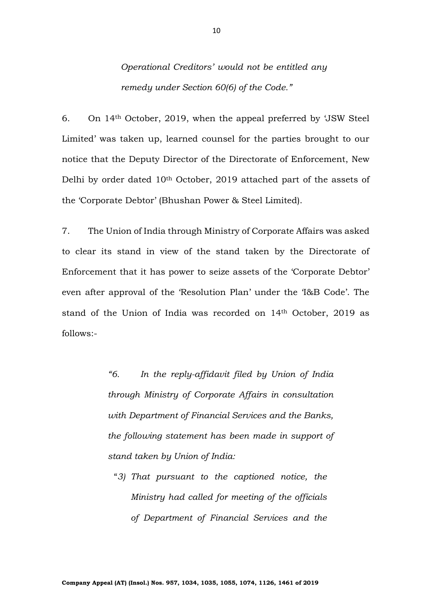*Operational Creditors' would not be entitled any remedy under Section 60(6) of the Code."*

6. On 14th October, 2019, when the appeal preferred by 'JSW Steel Limited' was taken up, learned counsel for the parties brought to our notice that the Deputy Director of the Directorate of Enforcement, New Delhi by order dated 10th October, 2019 attached part of the assets of the 'Corporate Debtor' (Bhushan Power & Steel Limited).

7. The Union of India through Ministry of Corporate Affairs was asked to clear its stand in view of the stand taken by the Directorate of Enforcement that it has power to seize assets of the 'Corporate Debtor' even after approval of the 'Resolution Plan' under the 'I&B Code'. The stand of the Union of India was recorded on 14th October, 2019 as follows:-

> *"6. In the reply-affidavit filed by Union of India through Ministry of Corporate Affairs in consultation with Department of Financial Services and the Banks, the following statement has been made in support of stand taken by Union of India:*

"*3) That pursuant to the captioned notice, the Ministry had called for meeting of the officials of Department of Financial Services and the*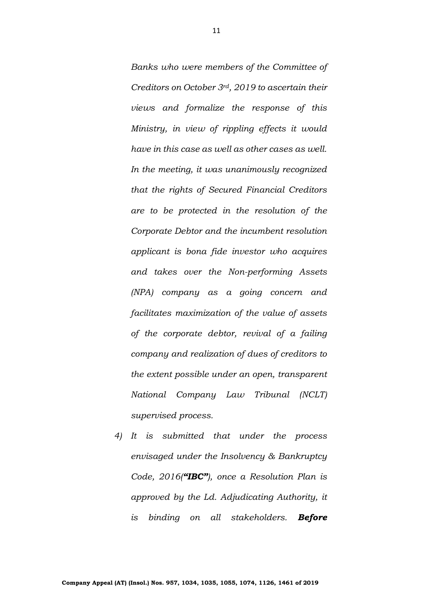*Banks who were members of the Committee of Creditors on October 3rd, 2019 to ascertain their views and formalize the response of this Ministry, in view of rippling effects it would have in this case as well as other cases as well. In the meeting, it was unanimously recognized that the rights of Secured Financial Creditors are to be protected in the resolution of the Corporate Debtor and the incumbent resolution applicant is bona fide investor who acquires and takes over the Non-performing Assets (NPA) company as a going concern and facilitates maximization of the value of assets of the corporate debtor, revival of a failing company and realization of dues of creditors to the extent possible under an open, transparent National Company Law Tribunal (NCLT) supervised process.*

*4) It is submitted that under the process envisaged under the Insolvency & Bankruptcy Code, 2016("IBC"), once a Resolution Plan is approved by the Ld. Adjudicating Authority, it is binding on all stakeholders. Before*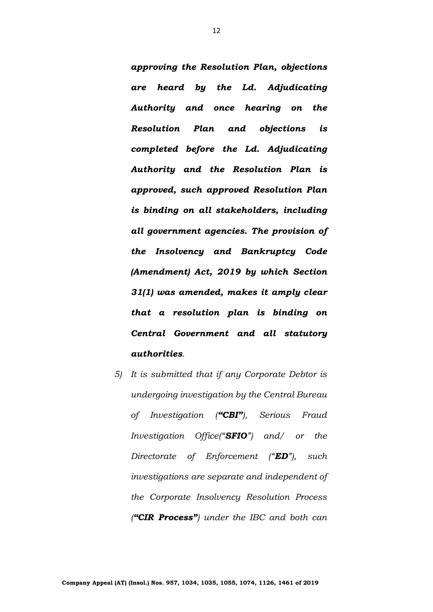*approving the Resolution Plan, objections are heard by the Ld. Adjudicating Authority and once hearing on the Resolution Plan and objections is completed before the Ld. Adjudicating Authority and the Resolution Plan is approved, such approved Resolution Plan is binding on all stakeholders, including all government agencies. The provision of the Insolvency and Bankruptcy Code (Amendment) Act, 2019 by which Section 31(1) was amended, makes it amply clear that a resolution plan is binding on Central Government and all statutory authorities.*

*5) It is submitted that if any Corporate Debtor is undergoing investigation by the Central Bureau of Investigation ("CBI"), Serious Fraud Investigation Office("SFIO") and/ or the Directorate of Enforcement ("ED"), such investigations are separate and independent of the Corporate Insolvency Resolution Process ("CIR Process") under the IBC and both can*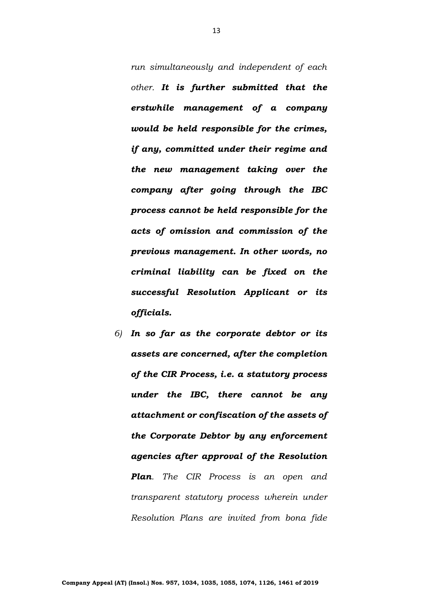*run simultaneously and independent of each other. It is further submitted that the erstwhile management of a company would be held responsible for the crimes, if any, committed under their regime and the new management taking over the company after going through the IBC process cannot be held responsible for the acts of omission and commission of the previous management. In other words, no criminal liability can be fixed on the successful Resolution Applicant or its officials.*

*6) In so far as the corporate debtor or its assets are concerned, after the completion of the CIR Process, i.e. a statutory process under the IBC, there cannot be any attachment or confiscation of the assets of the Corporate Debtor by any enforcement agencies after approval of the Resolution Plan. The CIR Process is an open and transparent statutory process wherein under Resolution Plans are invited from bona fide*

13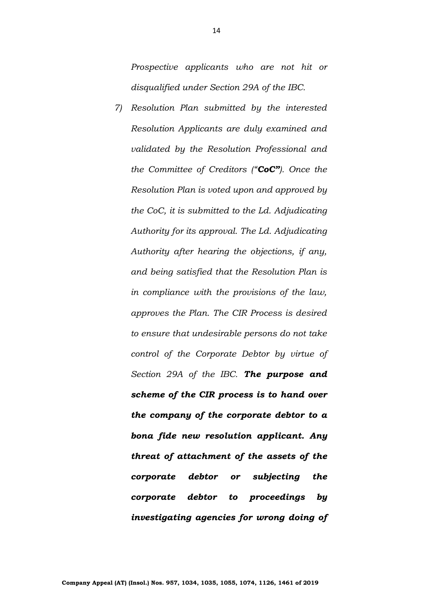*Prospective applicants who are not hit or disqualified under Section 29A of the IBC.*

*7) Resolution Plan submitted by the interested Resolution Applicants are duly examined and validated by the Resolution Professional and the Committee of Creditors ("CoC"). Once the Resolution Plan is voted upon and approved by the CoC, it is submitted to the Ld. Adjudicating Authority for its approval. The Ld. Adjudicating Authority after hearing the objections, if any, and being satisfied that the Resolution Plan is in compliance with the provisions of the law, approves the Plan. The CIR Process is desired to ensure that undesirable persons do not take control of the Corporate Debtor by virtue of Section 29A of the IBC. The purpose and scheme of the CIR process is to hand over the company of the corporate debtor to a bona fide new resolution applicant. Any threat of attachment of the assets of the corporate debtor or subjecting the corporate debtor to proceedings by investigating agencies for wrong doing of*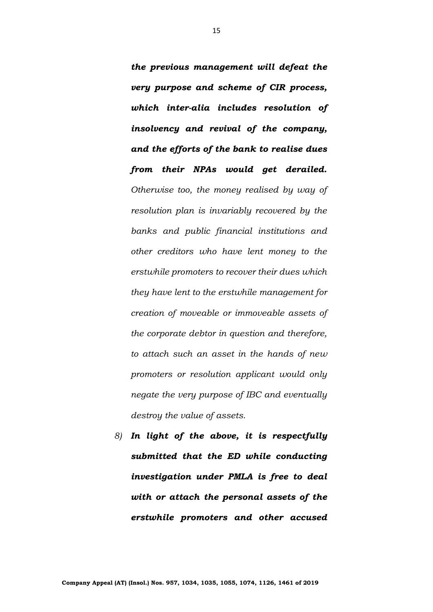*the previous management will defeat the very purpose and scheme of CIR process, which inter-alia includes resolution of insolvency and revival of the company, and the efforts of the bank to realise dues from their NPAs would get derailed. Otherwise too, the money realised by way of resolution plan is invariably recovered by the banks and public financial institutions and other creditors who have lent money to the erstwhile promoters to recover their dues which they have lent to the erstwhile management for creation of moveable or immoveable assets of the corporate debtor in question and therefore, to attach such an asset in the hands of new promoters or resolution applicant would only negate the very purpose of IBC and eventually destroy the value of assets.*

*8) In light of the above, it is respectfully submitted that the ED while conducting investigation under PMLA is free to deal with or attach the personal assets of the erstwhile promoters and other accused*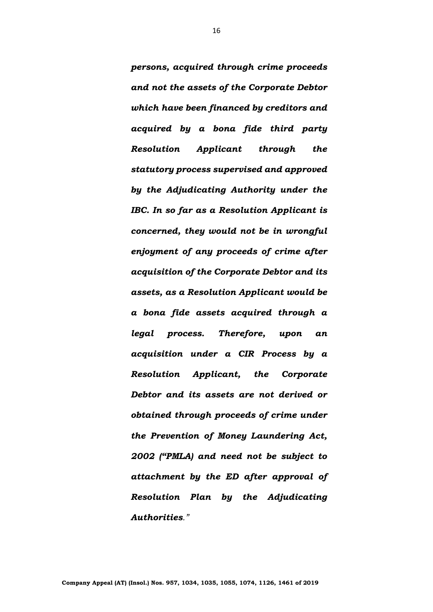*persons, acquired through crime proceeds and not the assets of the Corporate Debtor which have been financed by creditors and acquired by a bona fide third party Resolution Applicant through the statutory process supervised and approved by the Adjudicating Authority under the IBC. In so far as a Resolution Applicant is concerned, they would not be in wrongful enjoyment of any proceeds of crime after acquisition of the Corporate Debtor and its assets, as a Resolution Applicant would be a bona fide assets acquired through a legal process. Therefore, upon an acquisition under a CIR Process by a Resolution Applicant, the Corporate Debtor and its assets are not derived or obtained through proceeds of crime under the Prevention of Money Laundering Act, 2002 ("PMLA) and need not be subject to attachment by the ED after approval of Resolution Plan by the Adjudicating Authorities."*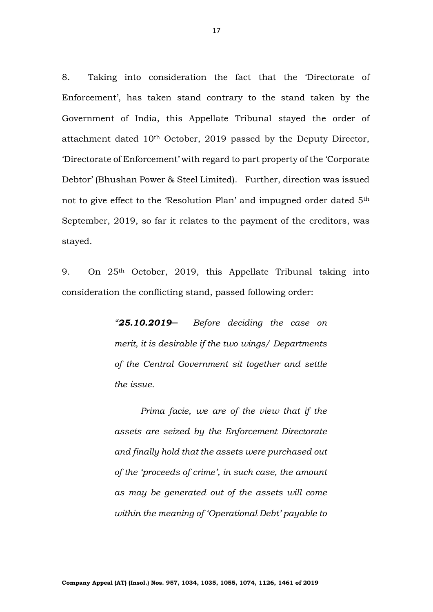8. Taking into consideration the fact that the 'Directorate of Enforcement', has taken stand contrary to the stand taken by the Government of India, this Appellate Tribunal stayed the order of attachment dated 10th October, 2019 passed by the Deputy Director, 'Directorate of Enforcement' with regard to part property of the 'Corporate Debtor' (Bhushan Power & Steel Limited). Further, direction was issued not to give effect to the 'Resolution Plan' and impugned order dated 5<sup>th</sup> September, 2019, so far it relates to the payment of the creditors, was stayed.

9. On 25th October, 2019, this Appellate Tribunal taking into consideration the conflicting stand, passed following order:

> *"25.10.2019─ Before deciding the case on merit, it is desirable if the two wings/ Departments of the Central Government sit together and settle the issue.*

> *Prima facie, we are of the view that if the assets are seized by the Enforcement Directorate and finally hold that the assets were purchased out of the 'proceeds of crime', in such case, the amount as may be generated out of the assets will come within the meaning of 'Operational Debt' payable to*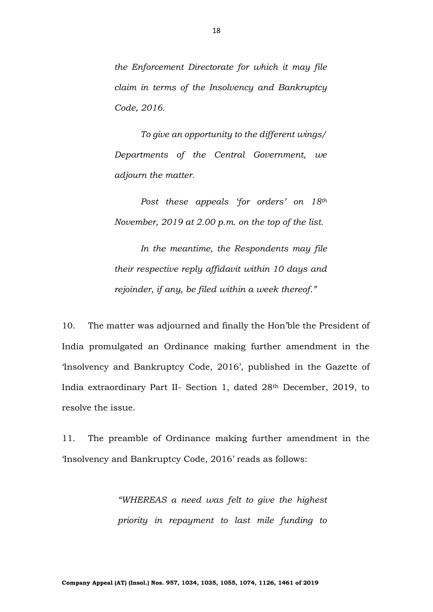*the Enforcement Directorate for which it may file claim in terms of the Insolvency and Bankruptcy Code, 2016.*

*To give an opportunity to the different wings/ Departments of the Central Government, we adjourn the matter.*

*Post these appeals 'for orders' on 18th November, 2019 at 2.00 p.m. on the top of the list.*

*In the meantime, the Respondents may file their respective reply affidavit within 10 days and rejoinder, if any, be filed within a week thereof."* 

10. The matter was adjourned and finally the Hon'ble the President of India promulgated an Ordinance making further amendment in the 'Insolvency and Bankruptcy Code, 2016', published in the Gazette of India extraordinary Part II- Section 1, dated 28th December, 2019, to resolve the issue.

11. The preamble of Ordinance making further amendment in the 'Insolvency and Bankruptcy Code, 2016' reads as follows:

> *"WHEREAS a need was felt to give the highest priority in repayment to last mile funding to*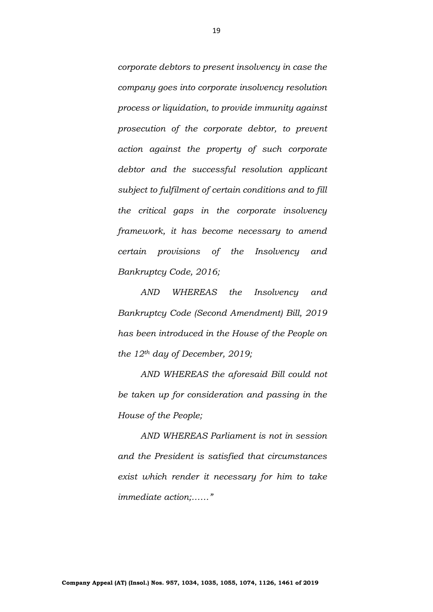*corporate debtors to present insolvency in case the company goes into corporate insolvency resolution process or liquidation, to provide immunity against prosecution of the corporate debtor, to prevent action against the property of such corporate debtor and the successful resolution applicant subject to fulfilment of certain conditions and to fill the critical gaps in the corporate insolvency framework, it has become necessary to amend certain provisions of the Insolvency and Bankruptcy Code, 2016;*

*AND WHEREAS the Insolvency and Bankruptcy Code (Second Amendment) Bill, 2019 has been introduced in the House of the People on the 12th day of December, 2019;*

*AND WHEREAS the aforesaid Bill could not be taken up for consideration and passing in the House of the People;*

*AND WHEREAS Parliament is not in session and the President is satisfied that circumstances exist which render it necessary for him to take immediate action;……"*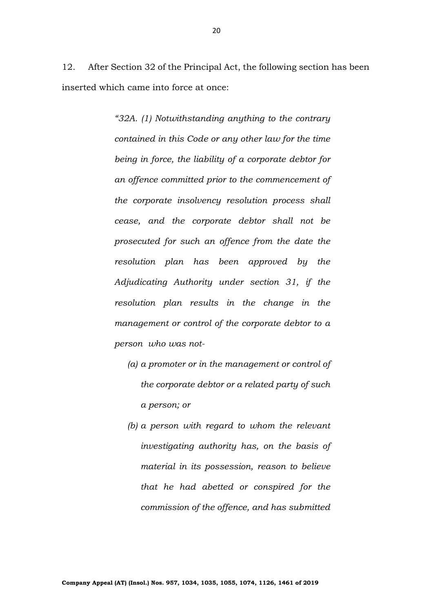12. After Section 32 of the Principal Act, the following section has been inserted which came into force at once:

> *"32A. (1) Notwithstanding anything to the contrary contained in this Code or any other law for the time being in force, the liability of a corporate debtor for an offence committed prior to the commencement of the corporate insolvency resolution process shall cease, and the corporate debtor shall not be prosecuted for such an offence from the date the resolution plan has been approved by the Adjudicating Authority under section 31, if the resolution plan results in the change in the management or control of the corporate debtor to a person who was not-*

- *(a) a promoter or in the management or control of the corporate debtor or a related party of such a person; or*
- *(b) a person with regard to whom the relevant investigating authority has, on the basis of material in its possession, reason to believe that he had abetted or conspired for the commission of the offence, and has submitted*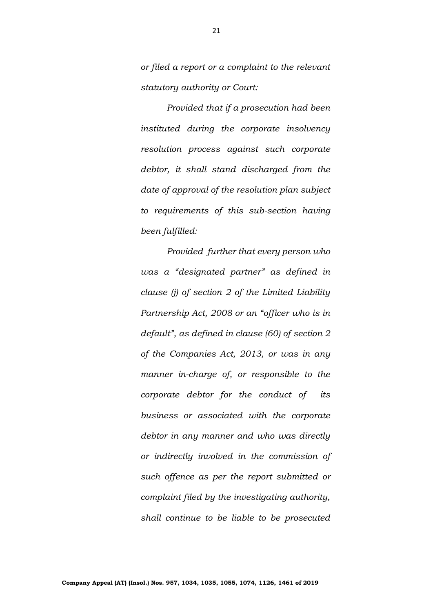*or filed a report or a complaint to the relevant statutory authority or Court:*

*Provided that if a prosecution had been instituted during the corporate insolvency resolution process against such corporate debtor, it shall stand discharged from the date of approval of the resolution plan subject to requirements of this sub-section having been fulfilled:*

*Provided further that every person who was a "designated partner" as defined in clause (j) of section 2 of the Limited Liability Partnership Act, 2008 or an "officer who is in default", as defined in clause (60) of section 2 of the Companies Act, 2013, or was in any manner in-charge of, or responsible to the corporate debtor for the conduct of its business or associated with the corporate debtor in any manner and who was directly or indirectly involved in the commission of such offence as per the report submitted or complaint filed by the investigating authority, shall continue to be liable to be prosecuted*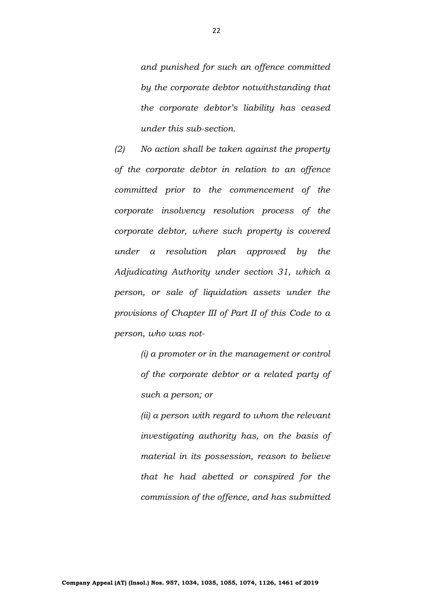*and punished for such an offence committed by the corporate debtor notwithstanding that the corporate debtor's liability has ceased under this sub-section.*

*(2) No action shall be taken against the property of the corporate debtor in relation to an offence committed prior to the commencement of the corporate insolvency resolution process of the corporate debtor, where such property is covered under a resolution plan approved by the Adjudicating Authority under section 31, which a person, or sale of liquidation assets under the provisions of Chapter III of Part II of this Code to a person, who was not-*

> *(i) a promoter or in the management or control of the corporate debtor or a related party of such a person; or*

> *(ii) a person with regard to whom the relevant investigating authority has, on the basis of material in its possession, reason to believe that he had abetted or conspired for the commission of the offence, and has submitted*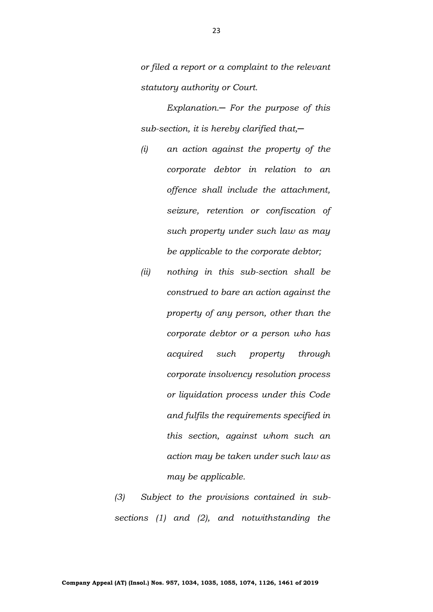*or filed a report or a complaint to the relevant statutory authority or Court.*

*Explanation.─ For the purpose of this sub-section, it is hereby clarified that,─*

- *(i) an action against the property of the corporate debtor in relation to an offence shall include the attachment, seizure, retention or confiscation of such property under such law as may be applicable to the corporate debtor;*
- *(ii) nothing in this sub-section shall be construed to bare an action against the property of any person, other than the corporate debtor or a person who has acquired such property through corporate insolvency resolution process or liquidation process under this Code and fulfils the requirements specified in this section, against whom such an action may be taken under such law as may be applicable.*

*(3) Subject to the provisions contained in subsections (1) and (2), and notwithstanding the*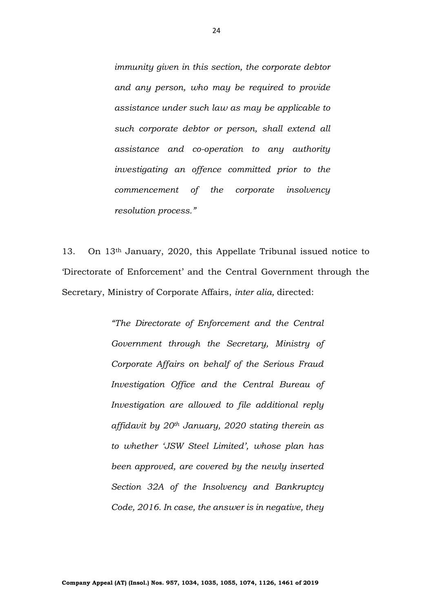*immunity given in this section, the corporate debtor and any person, who may be required to provide assistance under such law as may be applicable to such corporate debtor or person, shall extend all assistance and co-operation to any authority investigating an offence committed prior to the commencement of the corporate insolvency resolution process."*

13. On 13th January, 2020, this Appellate Tribunal issued notice to 'Directorate of Enforcement' and the Central Government through the Secretary, Ministry of Corporate Affairs, *inter alia,* directed:

> *"The Directorate of Enforcement and the Central Government through the Secretary, Ministry of Corporate Affairs on behalf of the Serious Fraud Investigation Office and the Central Bureau of Investigation are allowed to file additional reply affidavit by 20th January, 2020 stating therein as to whether 'JSW Steel Limited', whose plan has been approved, are covered by the newly inserted Section 32A of the Insolvency and Bankruptcy Code, 2016. In case, the answer is in negative, they*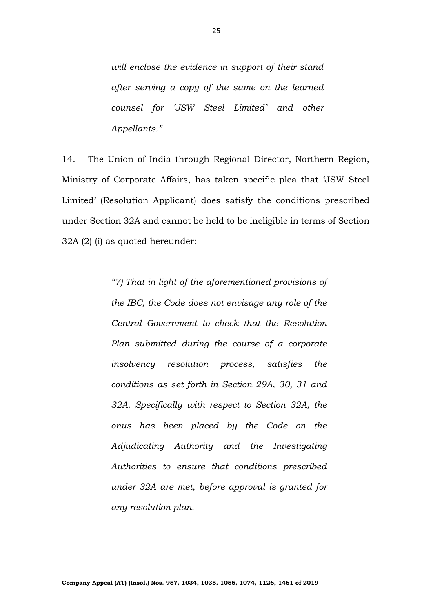*will enclose the evidence in support of their stand after serving a copy of the same on the learned counsel for 'JSW Steel Limited' and other Appellants."*

14. The Union of India through Regional Director, Northern Region, Ministry of Corporate Affairs, has taken specific plea that 'JSW Steel Limited' (Resolution Applicant) does satisfy the conditions prescribed under Section 32A and cannot be held to be ineligible in terms of Section 32A (2) (i) as quoted hereunder:

> *"7) That in light of the aforementioned provisions of the IBC, the Code does not envisage any role of the Central Government to check that the Resolution Plan submitted during the course of a corporate insolvency resolution process, satisfies the conditions as set forth in Section 29A, 30, 31 and 32A. Specifically with respect to Section 32A, the onus has been placed by the Code on the Adjudicating Authority and the Investigating Authorities to ensure that conditions prescribed under 32A are met, before approval is granted for any resolution plan.*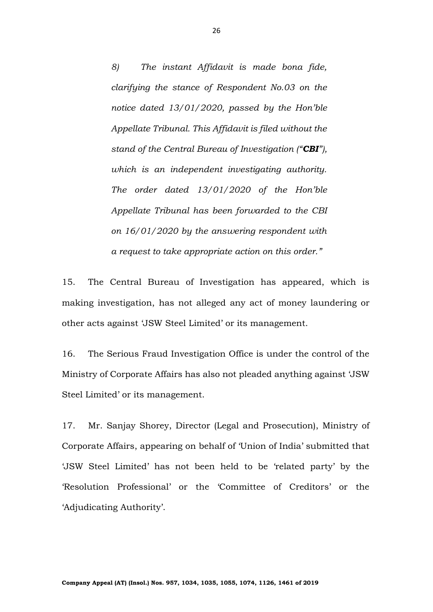*8) The instant Affidavit is made bona fide, clarifying the stance of Respondent No.03 on the notice dated 13/01/2020, passed by the Hon'ble Appellate Tribunal. This Affidavit is filed without the stand of the Central Bureau of Investigation ("CBI"), which is an independent investigating authority. The order dated 13/01/2020 of the Hon'ble Appellate Tribunal has been forwarded to the CBI on 16/01/2020 by the answering respondent with a request to take appropriate action on this order."*

15. The Central Bureau of Investigation has appeared, which is making investigation, has not alleged any act of money laundering or other acts against 'JSW Steel Limited' or its management.

16. The Serious Fraud Investigation Office is under the control of the Ministry of Corporate Affairs has also not pleaded anything against 'JSW Steel Limited' or its management.

17. Mr. Sanjay Shorey, Director (Legal and Prosecution), Ministry of Corporate Affairs, appearing on behalf of 'Union of India' submitted that 'JSW Steel Limited' has not been held to be 'related party' by the 'Resolution Professional' or the 'Committee of Creditors' or the 'Adjudicating Authority'.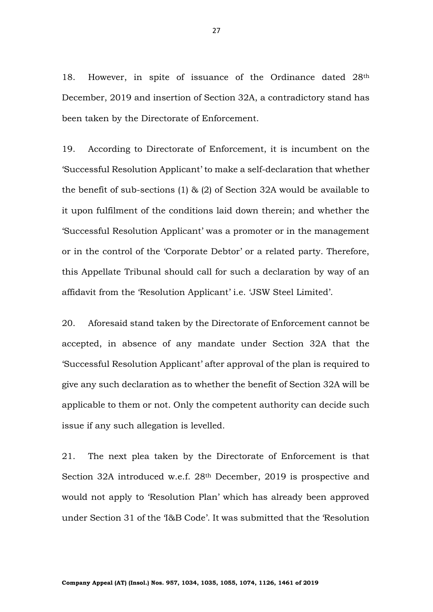18. However, in spite of issuance of the Ordinance dated 28<sup>th</sup> December, 2019 and insertion of Section 32A, a contradictory stand has been taken by the Directorate of Enforcement.

19. According to Directorate of Enforcement, it is incumbent on the 'Successful Resolution Applicant' to make a self-declaration that whether the benefit of sub-sections (1) & (2) of Section 32A would be available to it upon fulfilment of the conditions laid down therein; and whether the 'Successful Resolution Applicant' was a promoter or in the management or in the control of the 'Corporate Debtor' or a related party. Therefore, this Appellate Tribunal should call for such a declaration by way of an affidavit from the 'Resolution Applicant' i.e. 'JSW Steel Limited'.

20. Aforesaid stand taken by the Directorate of Enforcement cannot be accepted, in absence of any mandate under Section 32A that the 'Successful Resolution Applicant' after approval of the plan is required to give any such declaration as to whether the benefit of Section 32A will be applicable to them or not. Only the competent authority can decide such issue if any such allegation is levelled.

21. The next plea taken by the Directorate of Enforcement is that Section 32A introduced w.e.f. 28th December, 2019 is prospective and would not apply to 'Resolution Plan' which has already been approved under Section 31 of the 'I&B Code'. It was submitted that the 'Resolution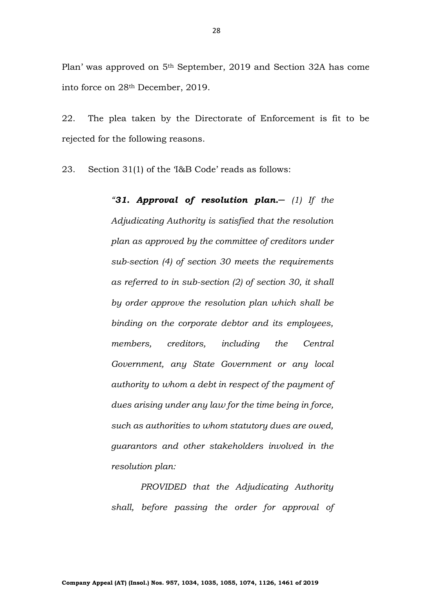Plan' was approved on 5th September, 2019 and Section 32A has come into force on 28th December, 2019.

22. The plea taken by the Directorate of Enforcement is fit to be rejected for the following reasons.

23. Section 31(1) of the 'I&B Code' reads as follows:

*"31. Approval of resolution plan.─ (1) If the Adjudicating Authority is satisfied that the resolution plan as approved by the committee of creditors under sub-section (4) of section 30 meets the requirements as referred to in sub-section (2) of section 30, it shall by order approve the resolution plan which shall be binding on the corporate debtor and its employees, members, creditors, including the Central Government, any State Government or any local authority to whom a debt in respect of the payment of dues arising under any law for the time being in force, such as authorities to whom statutory dues are owed, guarantors and other stakeholders involved in the resolution plan:*

*PROVIDED that the Adjudicating Authority shall, before passing the order for approval of*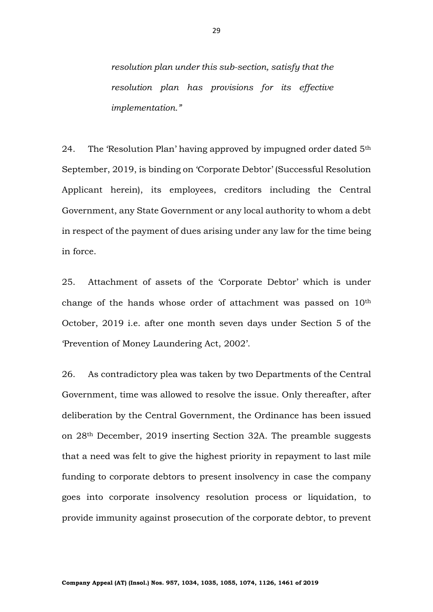*resolution plan under this sub-section, satisfy that the resolution plan has provisions for its effective implementation."*

24. The 'Resolution Plan' having approved by impugned order dated 5<sup>th</sup> September, 2019, is binding on 'Corporate Debtor' (Successful Resolution Applicant herein), its employees, creditors including the Central Government, any State Government or any local authority to whom a debt in respect of the payment of dues arising under any law for the time being in force.

25. Attachment of assets of the 'Corporate Debtor' which is under change of the hands whose order of attachment was passed on 10th October, 2019 i.e. after one month seven days under Section 5 of the 'Prevention of Money Laundering Act, 2002'.

26. As contradictory plea was taken by two Departments of the Central Government, time was allowed to resolve the issue. Only thereafter, after deliberation by the Central Government, the Ordinance has been issued on 28th December, 2019 inserting Section 32A. The preamble suggests that a need was felt to give the highest priority in repayment to last mile funding to corporate debtors to present insolvency in case the company goes into corporate insolvency resolution process or liquidation, to provide immunity against prosecution of the corporate debtor, to prevent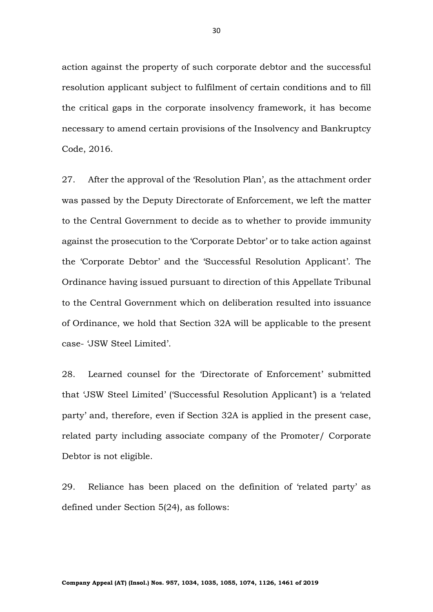action against the property of such corporate debtor and the successful resolution applicant subject to fulfilment of certain conditions and to fill the critical gaps in the corporate insolvency framework, it has become necessary to amend certain provisions of the Insolvency and Bankruptcy Code, 2016.

27. After the approval of the 'Resolution Plan', as the attachment order was passed by the Deputy Directorate of Enforcement, we left the matter to the Central Government to decide as to whether to provide immunity against the prosecution to the 'Corporate Debtor' or to take action against the 'Corporate Debtor' and the 'Successful Resolution Applicant'. The Ordinance having issued pursuant to direction of this Appellate Tribunal to the Central Government which on deliberation resulted into issuance of Ordinance, we hold that Section 32A will be applicable to the present case- 'JSW Steel Limited'.

28. Learned counsel for the 'Directorate of Enforcement' submitted that 'JSW Steel Limited' ('Successful Resolution Applicant') is a 'related party' and, therefore, even if Section 32A is applied in the present case, related party including associate company of the Promoter/ Corporate Debtor is not eligible.

29. Reliance has been placed on the definition of 'related party' as defined under Section 5(24), as follows: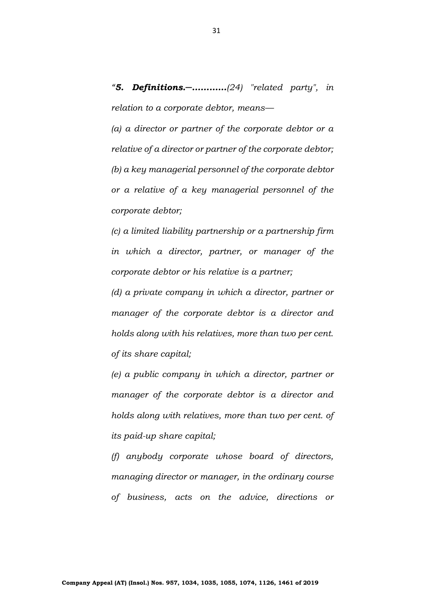*"5. Definitions.─…………(24) "related party", in relation to a corporate debtor, means—*

*(a) a director or partner of the corporate debtor or a relative of a director or partner of the corporate debtor; (b) a key managerial personnel of the corporate debtor or a relative of a key managerial personnel of the corporate debtor;*

*(c) a limited liability partnership or a partnership firm in which a director, partner, or manager of the corporate debtor or his relative is a partner;* 

*(d) a private company in which a director, partner or manager of the corporate debtor is a director and holds along with his relatives, more than two per cent. of its share capital;* 

*(e) a public company in which a director, partner or manager of the corporate debtor is a director and holds along with relatives, more than two per cent. of its paid-up share capital;* 

*(f) anybody corporate whose board of directors, managing director or manager, in the ordinary course of business, acts on the advice, directions or*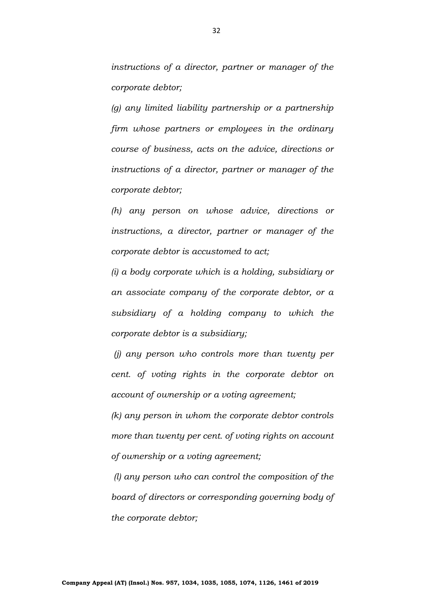*instructions of a director, partner or manager of the corporate debtor;* 

*(g) any limited liability partnership or a partnership firm whose partners or employees in the ordinary course of business, acts on the advice, directions or instructions of a director, partner or manager of the corporate debtor;* 

*(h) any person on whose advice, directions or instructions, a director, partner or manager of the corporate debtor is accustomed to act;* 

*(i) a body corporate which is a holding, subsidiary or an associate company of the corporate debtor, or a subsidiary of a holding company to which the corporate debtor is a subsidiary;*

*(j) any person who controls more than twenty per cent. of voting rights in the corporate debtor on account of ownership or a voting agreement;* 

*(k) any person in whom the corporate debtor controls more than twenty per cent. of voting rights on account of ownership or a voting agreement;*

*(l) any person who can control the composition of the board of directors or corresponding governing body of the corporate debtor;*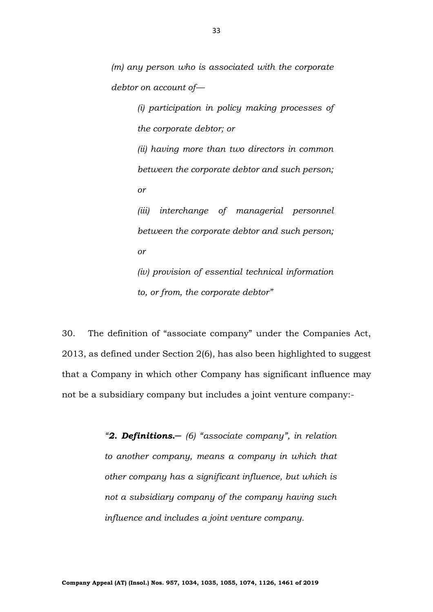*(m) any person who is associated with the corporate debtor on account of—*

> *(i) participation in policy making processes of the corporate debtor; or*

> *(ii) having more than two directors in common between the corporate debtor and such person; or*

> *(iii) interchange of managerial personnel between the corporate debtor and such person; or*

> *(iv) provision of essential technical information to, or from, the corporate debtor"*

30. The definition of "associate company" under the Companies Act, 2013, as defined under Section 2(6), has also been highlighted to suggest that a Company in which other Company has significant influence may not be a subsidiary company but includes a joint venture company:-

> *"2. Definitions.─ (6) "associate company", in relation to another company, means a company in which that other company has a significant influence, but which is not a subsidiary company of the company having such influence and includes a joint venture company.*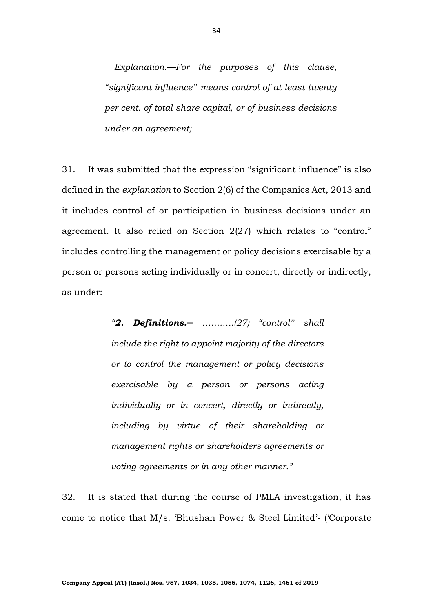*Explanation.—For the purposes of this clause, "significant influence" means control of at least twenty per cent. of total share capital, or of business decisions under an agreement;*

31. It was submitted that the expression "significant influence" is also defined in the *explanation* to Section 2(6) of the Companies Act, 2013 and it includes control of or participation in business decisions under an agreement. It also relied on Section 2(27) which relates to "control" includes controlling the management or policy decisions exercisable by a person or persons acting individually or in concert, directly or indirectly, as under:

> *"2. Definitions.─ ………..(27) "control" shall include the right to appoint majority of the directors or to control the management or policy decisions exercisable by a person or persons acting individually or in concert, directly or indirectly, including by virtue of their shareholding or management rights or shareholders agreements or voting agreements or in any other manner."*

32. It is stated that during the course of PMLA investigation, it has come to notice that M/s. 'Bhushan Power & Steel Limited'- ('Corporate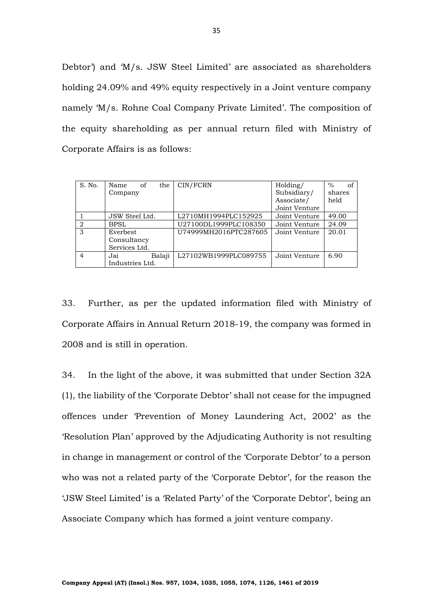Debtor') and 'M/s. JSW Steel Limited' are associated as shareholders holding 24.09% and 49% equity respectively in a Joint venture company namely 'M/s. Rohne Coal Company Private Limited'. The composition of the equity shareholding as per annual return filed with Ministry of Corporate Affairs is as follows:

| S. No.         | Name<br>of      | the    | CIN/FCRN              | Holding/      | $\%$<br>of |
|----------------|-----------------|--------|-----------------------|---------------|------------|
|                | Company         |        |                       | Subsidiary/   | shares     |
|                |                 |        |                       | Associate/    | held       |
|                |                 |        |                       | Joint Venture |            |
|                | JSW Steel Ltd.  |        | L2710MH1994PLC152925  | Joint Venture | 49.00      |
| $\overline{2}$ | <b>BPSL</b>     |        | U27100DL1999PLC108350 | Joint Venture | 24.09      |
| 3              | Everbest        |        | U74999MH2016PTC287605 | Joint Venture | 20.01      |
|                | Consultancy     |        |                       |               |            |
|                | Services Ltd.   |        |                       |               |            |
| $\overline{4}$ | Jai             | Balaji | L27102WB1999PLC089755 | Joint Venture | 6.90       |
|                | Industries Ltd. |        |                       |               |            |

33. Further, as per the updated information filed with Ministry of Corporate Affairs in Annual Return 2018-19, the company was formed in 2008 and is still in operation.

34. In the light of the above, it was submitted that under Section 32A (1), the liability of the 'Corporate Debtor' shall not cease for the impugned offences under 'Prevention of Money Laundering Act, 2002' as the 'Resolution Plan' approved by the Adjudicating Authority is not resulting in change in management or control of the 'Corporate Debtor' to a person who was not a related party of the 'Corporate Debtor', for the reason the 'JSW Steel Limited' is a 'Related Party' of the 'Corporate Debtor', being an Associate Company which has formed a joint venture company.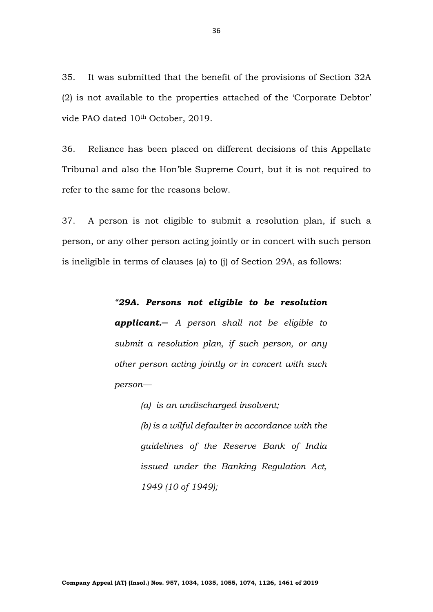35. It was submitted that the benefit of the provisions of Section 32A (2) is not available to the properties attached of the 'Corporate Debtor' vide PAO dated 10<sup>th</sup> October, 2019.

36. Reliance has been placed on different decisions of this Appellate Tribunal and also the Hon'ble Supreme Court, but it is not required to refer to the same for the reasons below.

37. A person is not eligible to submit a resolution plan, if such a person, or any other person acting jointly or in concert with such person is ineligible in terms of clauses (a) to (j) of Section 29A, as follows:

## *"29A. Persons not eligible to be resolution*

*applicant.─ A person shall not be eligible to submit a resolution plan, if such person, or any other person acting jointly or in concert with such person—*

> *(a) is an undischarged insolvent; (b) is a wilful defaulter in accordance with the guidelines of the Reserve Bank of India issued under the Banking Regulation Act, 1949 (10 of 1949);*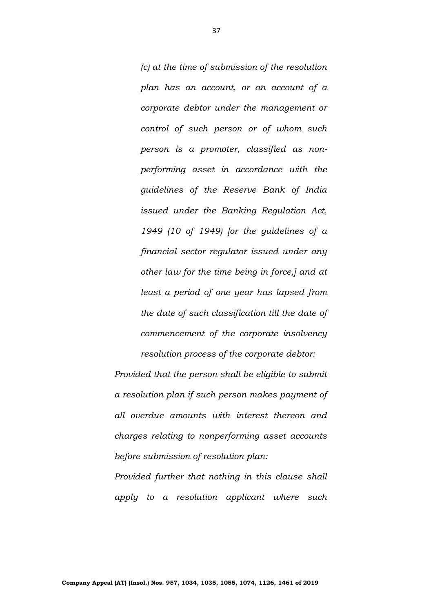*(c) at the time of submission of the resolution plan has an account, or an account of a corporate debtor under the management or control of such person or of whom such person is a promoter, classified as nonperforming asset in accordance with the guidelines of the Reserve Bank of India issued under the Banking Regulation Act, 1949 (10 of 1949) [or the guidelines of a financial sector regulator issued under any other law for the time being in force,] and at least a period of one year has lapsed from the date of such classification till the date of commencement of the corporate insolvency resolution process of the corporate debtor:* 

*Provided that the person shall be eligible to submit a resolution plan if such person makes payment of all overdue amounts with interest thereon and charges relating to nonperforming asset accounts before submission of resolution plan:* 

*Provided further that nothing in this clause shall apply to a resolution applicant where such*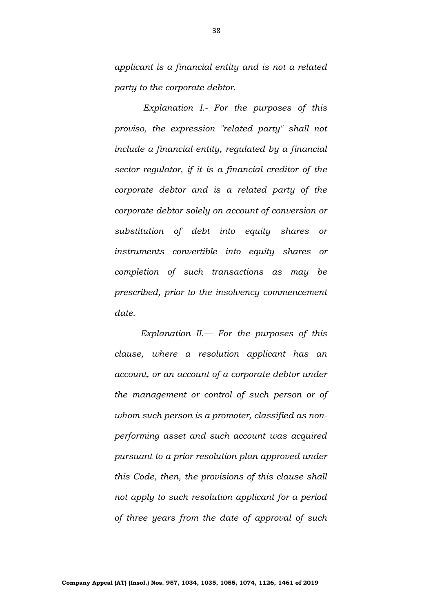*applicant is a financial entity and is not a related party to the corporate debtor.*

*Explanation I.- For the purposes of this proviso, the expression "related party" shall not include a financial entity, regulated by a financial sector regulator, if it is a financial creditor of the corporate debtor and is a related party of the corporate debtor solely on account of conversion or substitution of debt into equity shares or instruments convertible into equity shares or completion of such transactions as may be prescribed, prior to the insolvency commencement date.* 

*Explanation II.— For the purposes of this clause, where a resolution applicant has an account, or an account of a corporate debtor under the management or control of such person or of whom such person is a promoter, classified as nonperforming asset and such account was acquired pursuant to a prior resolution plan approved under this Code, then, the provisions of this clause shall not apply to such resolution applicant for a period of three years from the date of approval of such*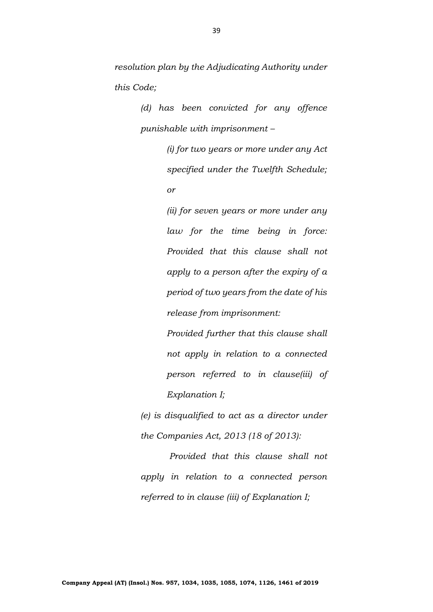*resolution plan by the Adjudicating Authority under this Code;*

> *(d) has been convicted for any offence punishable with imprisonment –*

> > *(i) for two years or more under any Act specified under the Twelfth Schedule; or*

> > *(ii) for seven years or more under any law for the time being in force: Provided that this clause shall not apply to a person after the expiry of a period of two years from the date of his release from imprisonment:*

> > *Provided further that this clause shall not apply in relation to a connected person referred to in clause(iii) of Explanation I;*

*(e) is disqualified to act as a director under the Companies Act, 2013 (18 of 2013):*

*Provided that this clause shall not apply in relation to a connected person referred to in clause (iii) of Explanation I;*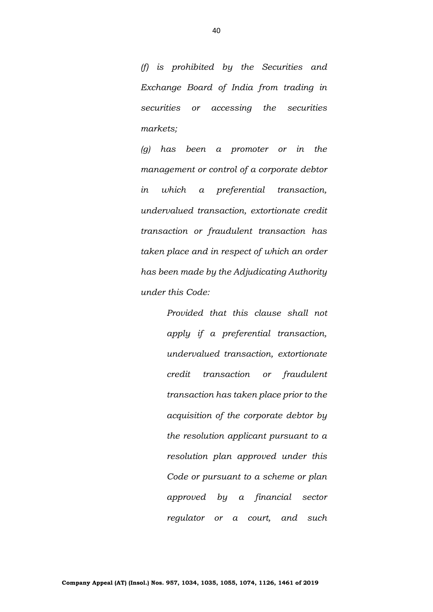*(f) is prohibited by the Securities and Exchange Board of India from trading in securities or accessing the securities markets;* 

*(g) has been a promoter or in the management or control of a corporate debtor in which a preferential transaction, undervalued transaction, extortionate credit transaction or fraudulent transaction has taken place and in respect of which an order has been made by the Adjudicating Authority under this Code:* 

> *Provided that this clause shall not apply if a preferential transaction, undervalued transaction, extortionate credit transaction or fraudulent transaction has taken place prior to the acquisition of the corporate debtor by the resolution applicant pursuant to a resolution plan approved under this Code or pursuant to a scheme or plan approved by a financial sector regulator or a court, and such*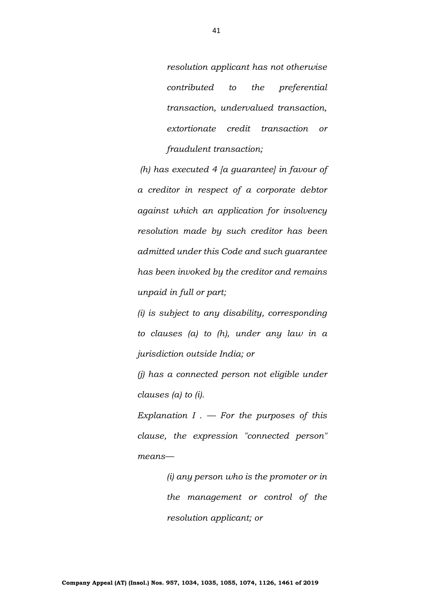*resolution applicant has not otherwise contributed to the preferential transaction, undervalued transaction, extortionate credit transaction or fraudulent transaction;*

*(h) has executed 4 [a guarantee] in favour of a creditor in respect of a corporate debtor against which an application for insolvency resolution made by such creditor has been admitted under this Code and such guarantee has been invoked by the creditor and remains unpaid in full or part;*

*(i) is subject to any disability, corresponding to clauses (a) to (h), under any law in a jurisdiction outside India; or* 

*(j) has a connected person not eligible under clauses (a) to (i).* 

*Explanation I .*  $-$  *For the purposes of this clause, the expression "connected person" means—*

> *(i) any person who is the promoter or in the management or control of the resolution applicant; or*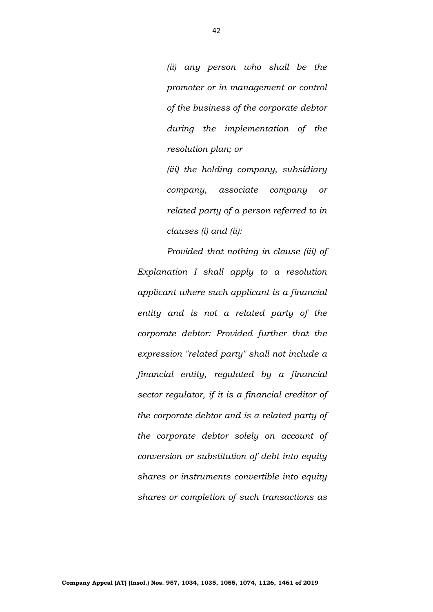*(ii) any person who shall be the promoter or in management or control of the business of the corporate debtor during the implementation of the resolution plan; or* 

*(iii) the holding company, subsidiary company, associate company or related party of a person referred to in clauses (i) and (ii):* 

*Provided that nothing in clause (iii) of Explanation I shall apply to a resolution applicant where such applicant is a financial entity and is not a related party of the corporate debtor: Provided further that the expression "related party" shall not include a financial entity, regulated by a financial sector regulator, if it is a financial creditor of the corporate debtor and is a related party of the corporate debtor solely on account of conversion or substitution of debt into equity shares or instruments convertible into equity shares or completion of such transactions as*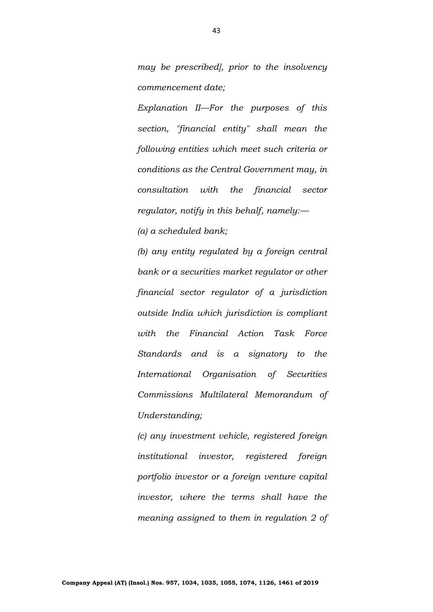*may be prescribed], prior to the insolvency commencement date;*

*Explanation II—For the purposes of this section, "financial entity" shall mean the following entities which meet such criteria or conditions as the Central Government may, in consultation with the financial sector regulator, notify in this behalf, namely:—*

*(a) a scheduled bank;* 

*(b) any entity regulated by a foreign central bank or a securities market regulator or other financial sector regulator of a jurisdiction outside India which jurisdiction is compliant with the Financial Action Task Force Standards and is a signatory to the International Organisation of Securities Commissions Multilateral Memorandum of Understanding;* 

*(c) any investment vehicle, registered foreign institutional investor, registered foreign portfolio investor or a foreign venture capital investor, where the terms shall have the meaning assigned to them in regulation 2 of*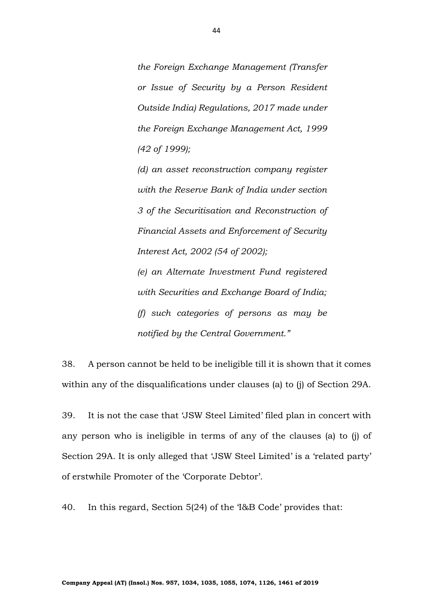*the Foreign Exchange Management (Transfer or Issue of Security by a Person Resident Outside India) Regulations, 2017 made under the Foreign Exchange Management Act, 1999 (42 of 1999);* 

*(d) an asset reconstruction company register with the Reserve Bank of India under section 3 of the Securitisation and Reconstruction of Financial Assets and Enforcement of Security Interest Act, 2002 (54 of 2002); (e) an Alternate Investment Fund registered with Securities and Exchange Board of India;* 

*(f) such categories of persons as may be notified by the Central Government."*

38. A person cannot be held to be ineligible till it is shown that it comes within any of the disqualifications under clauses (a) to (j) of Section 29A.

39. It is not the case that 'JSW Steel Limited' filed plan in concert with any person who is ineligible in terms of any of the clauses (a) to (j) of Section 29A. It is only alleged that 'JSW Steel Limited' is a 'related party' of erstwhile Promoter of the 'Corporate Debtor'.

40. In this regard, Section 5(24) of the 'I&B Code' provides that: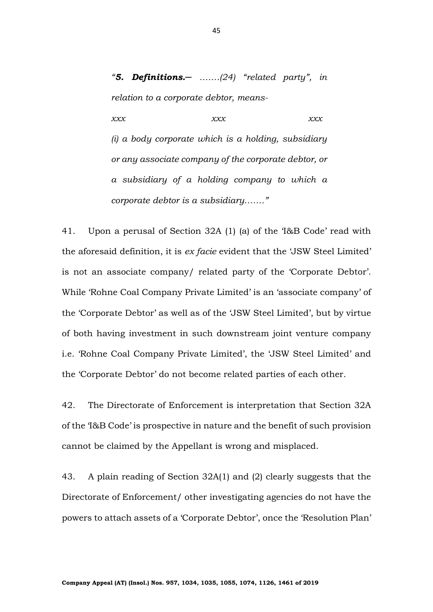*"5. Definitions.─ …….(24) "related party", in relation to a corporate debtor, means-*

*xxx xxx xxx (i) a body corporate which is a holding, subsidiary or any associate company of the corporate debtor, or a subsidiary of a holding company to which a corporate debtor is a subsidiary……."*

41. Upon a perusal of Section 32A (1) (a) of the 'I&B Code' read with the aforesaid definition, it is *ex facie* evident that the 'JSW Steel Limited' is not an associate company/ related party of the 'Corporate Debtor'. While 'Rohne Coal Company Private Limited' is an 'associate company' of the 'Corporate Debtor' as well as of the 'JSW Steel Limited', but by virtue of both having investment in such downstream joint venture company i.e. 'Rohne Coal Company Private Limited', the 'JSW Steel Limited' and the 'Corporate Debtor' do not become related parties of each other.

42. The Directorate of Enforcement is interpretation that Section 32A of the 'I&B Code' is prospective in nature and the benefit of such provision cannot be claimed by the Appellant is wrong and misplaced.

43. A plain reading of Section 32A(1) and (2) clearly suggests that the Directorate of Enforcement/ other investigating agencies do not have the powers to attach assets of a 'Corporate Debtor', once the 'Resolution Plan'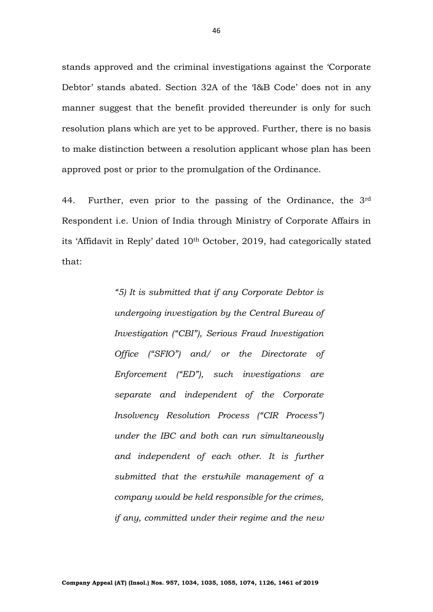stands approved and the criminal investigations against the 'Corporate Debtor' stands abated. Section 32A of the 'I&B Code' does not in any manner suggest that the benefit provided thereunder is only for such resolution plans which are yet to be approved. Further, there is no basis to make distinction between a resolution applicant whose plan has been approved post or prior to the promulgation of the Ordinance.

44. Further, even prior to the passing of the Ordinance, the 3rd Respondent i.e. Union of India through Ministry of Corporate Affairs in its 'Affidavit in Reply' dated 10th October, 2019, had categorically stated that:

> *"5) It is submitted that if any Corporate Debtor is undergoing investigation by the Central Bureau of Investigation ("CBI"), Serious Fraud Investigation Office ("SFIO") and/ or the Directorate of Enforcement ("ED"), such investigations are separate and independent of the Corporate Insolvency Resolution Process ("CIR Process") under the IBC and both can run simultaneously and independent of each other. It is further submitted that the erstwhile management of a company would be held responsible for the crimes, if any, committed under their regime and the new*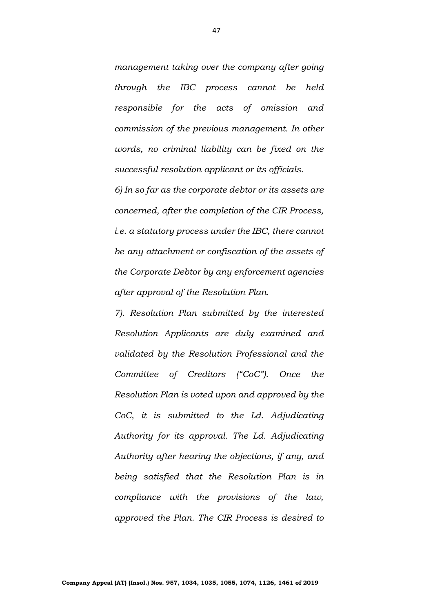*management taking over the company after going through the IBC process cannot be held responsible for the acts of omission and commission of the previous management. In other words, no criminal liability can be fixed on the successful resolution applicant or its officials.*

*6) In so far as the corporate debtor or its assets are concerned, after the completion of the CIR Process, i.e. a statutory process under the IBC, there cannot be any attachment or confiscation of the assets of the Corporate Debtor by any enforcement agencies after approval of the Resolution Plan.*

*7). Resolution Plan submitted by the interested Resolution Applicants are duly examined and validated by the Resolution Professional and the Committee of Creditors ("CoC"). Once the Resolution Plan is voted upon and approved by the CoC, it is submitted to the Ld. Adjudicating Authority for its approval. The Ld. Adjudicating Authority after hearing the objections, if any, and being satisfied that the Resolution Plan is in compliance with the provisions of the law, approved the Plan. The CIR Process is desired to*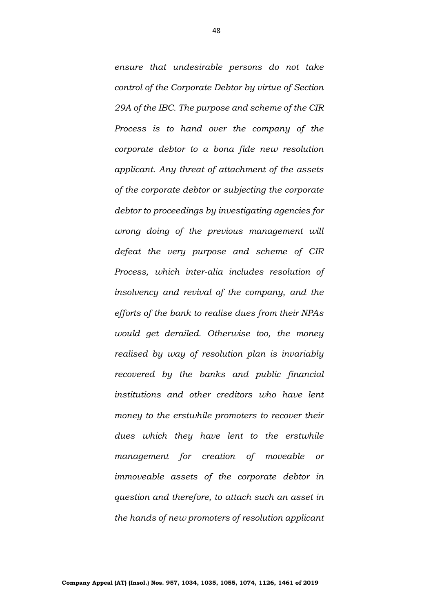*ensure that undesirable persons do not take control of the Corporate Debtor by virtue of Section 29A of the IBC. The purpose and scheme of the CIR Process is to hand over the company of the corporate debtor to a bona fide new resolution applicant. Any threat of attachment of the assets of the corporate debtor or subjecting the corporate debtor to proceedings by investigating agencies for wrong doing of the previous management will defeat the very purpose and scheme of CIR Process, which inter-alia includes resolution of insolvency and revival of the company, and the efforts of the bank to realise dues from their NPAs would get derailed. Otherwise too, the money realised by way of resolution plan is invariably recovered by the banks and public financial institutions and other creditors who have lent money to the erstwhile promoters to recover their dues which they have lent to the erstwhile management for creation of moveable or immoveable assets of the corporate debtor in question and therefore, to attach such an asset in the hands of new promoters of resolution applicant*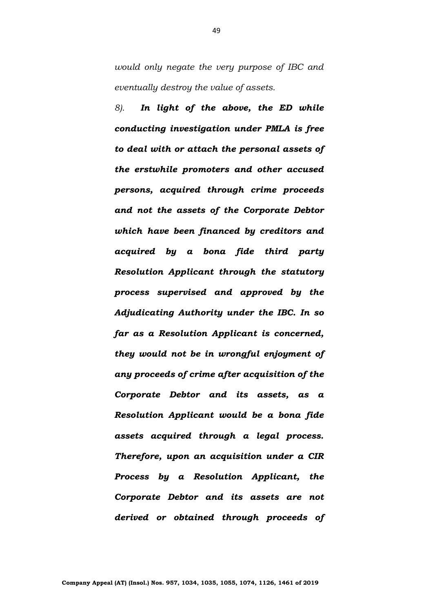*would only negate the very purpose of IBC and eventually destroy the value of assets.*

*8). In light of the above, the ED while conducting investigation under PMLA is free to deal with or attach the personal assets of the erstwhile promoters and other accused persons, acquired through crime proceeds and not the assets of the Corporate Debtor which have been financed by creditors and acquired by a bona fide third party Resolution Applicant through the statutory process supervised and approved by the Adjudicating Authority under the IBC. In so far as a Resolution Applicant is concerned, they would not be in wrongful enjoyment of any proceeds of crime after acquisition of the Corporate Debtor and its assets, as a Resolution Applicant would be a bona fide assets acquired through a legal process. Therefore, upon an acquisition under a CIR Process by a Resolution Applicant, the Corporate Debtor and its assets are not derived or obtained through proceeds of*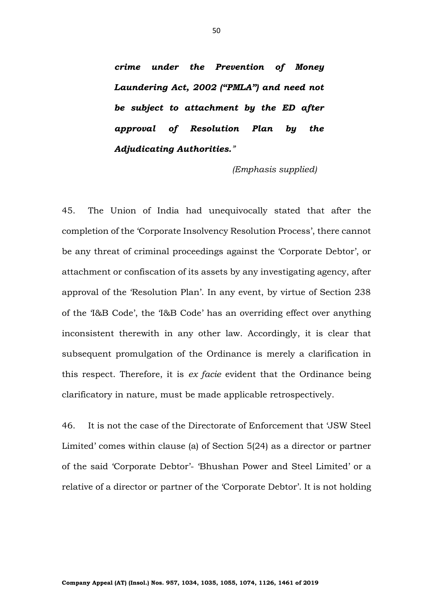*crime under the Prevention of Money Laundering Act, 2002 ("PMLA") and need not be subject to attachment by the ED after approval of Resolution Plan by the Adjudicating Authorities."* 

 *(Emphasis supplied)*

45. The Union of India had unequivocally stated that after the completion of the 'Corporate Insolvency Resolution Process', there cannot be any threat of criminal proceedings against the 'Corporate Debtor', or attachment or confiscation of its assets by any investigating agency, after approval of the 'Resolution Plan'. In any event, by virtue of Section 238 of the 'I&B Code', the 'I&B Code' has an overriding effect over anything inconsistent therewith in any other law. Accordingly, it is clear that subsequent promulgation of the Ordinance is merely a clarification in this respect. Therefore, it is *ex facie* evident that the Ordinance being clarificatory in nature, must be made applicable retrospectively.

46. It is not the case of the Directorate of Enforcement that 'JSW Steel Limited' comes within clause (a) of Section 5(24) as a director or partner of the said 'Corporate Debtor'- 'Bhushan Power and Steel Limited' or a relative of a director or partner of the 'Corporate Debtor'. It is not holding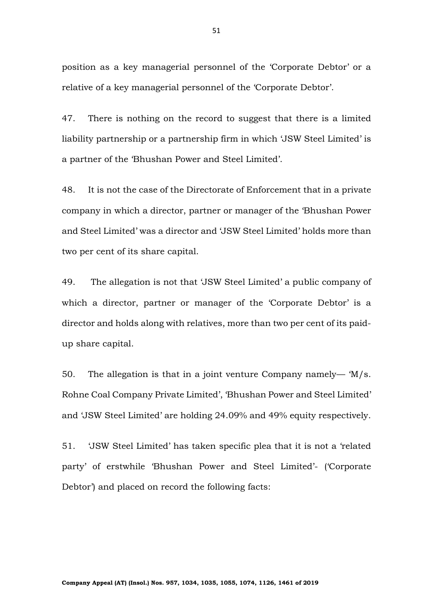position as a key managerial personnel of the 'Corporate Debtor' or a relative of a key managerial personnel of the 'Corporate Debtor'.

47. There is nothing on the record to suggest that there is a limited liability partnership or a partnership firm in which 'JSW Steel Limited' is a partner of the 'Bhushan Power and Steel Limited'.

48. It is not the case of the Directorate of Enforcement that in a private company in which a director, partner or manager of the 'Bhushan Power and Steel Limited' was a director and 'JSW Steel Limited' holds more than two per cent of its share capital.

49. The allegation is not that 'JSW Steel Limited' a public company of which a director, partner or manager of the 'Corporate Debtor' is a director and holds along with relatives, more than two per cent of its paidup share capital.

50. The allegation is that in a joint venture Company namely— 'M/s. Rohne Coal Company Private Limited', 'Bhushan Power and Steel Limited' and 'JSW Steel Limited' are holding 24.09% and 49% equity respectively.

51. 'JSW Steel Limited' has taken specific plea that it is not a 'related party' of erstwhile 'Bhushan Power and Steel Limited'- ('Corporate Debtor') and placed on record the following facts: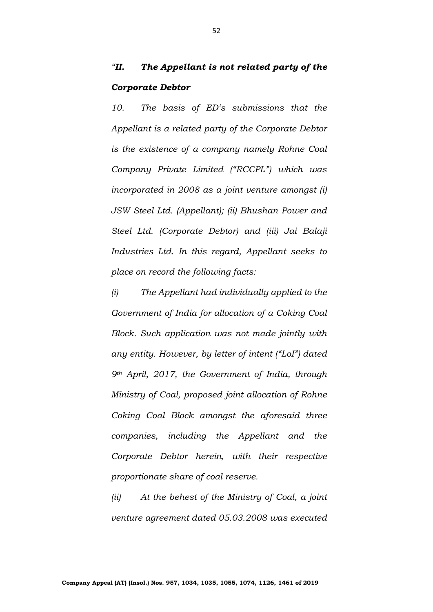## *"II. The Appellant is not related party of the Corporate Debtor*

*10. The basis of ED's submissions that the Appellant is a related party of the Corporate Debtor is the existence of a company namely Rohne Coal Company Private Limited ("RCCPL") which was incorporated in 2008 as a joint venture amongst (i) JSW Steel Ltd. (Appellant); (ii) Bhushan Power and Steel Ltd. (Corporate Debtor) and (iii) Jai Balaji Industries Ltd. In this regard, Appellant seeks to place on record the following facts:*

*(i) The Appellant had individually applied to the Government of India for allocation of a Coking Coal Block. Such application was not made jointly with any entity. However, by letter of intent ("LoI") dated 9th April, 2017, the Government of India, through Ministry of Coal, proposed joint allocation of Rohne Coking Coal Block amongst the aforesaid three companies, including the Appellant and the Corporate Debtor herein, with their respective proportionate share of coal reserve.* 

*(ii) At the behest of the Ministry of Coal, a joint venture agreement dated 05.03.2008 was executed* 

52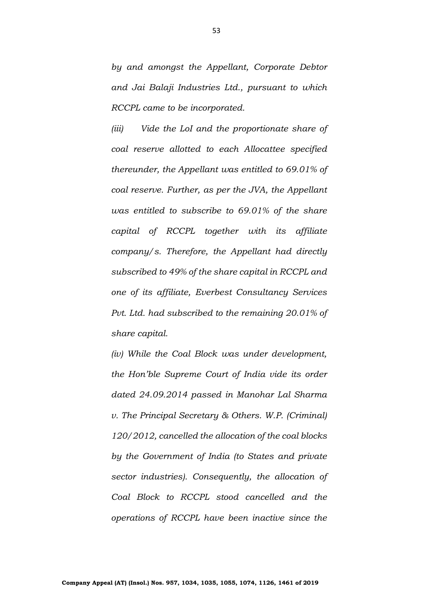*by and amongst the Appellant, Corporate Debtor and Jai Balaji Industries Ltd., pursuant to which RCCPL came to be incorporated.*

*(iii) Vide the LoI and the proportionate share of coal reserve allotted to each Allocattee specified thereunder, the Appellant was entitled to 69.01% of coal reserve. Further, as per the JVA, the Appellant was entitled to subscribe to 69.01% of the share capital of RCCPL together with its affiliate company/s. Therefore, the Appellant had directly subscribed to 49% of the share capital in RCCPL and one of its affiliate, Everbest Consultancy Services Pvt. Ltd. had subscribed to the remaining 20.01% of share capital.*

*(iv) While the Coal Block was under development, the Hon'ble Supreme Court of India vide its order dated 24.09.2014 passed in Manohar Lal Sharma v. The Principal Secretary & Others. W.P. (Criminal) 120/2012, cancelled the allocation of the coal blocks by the Government of India (to States and private sector industries). Consequently, the allocation of Coal Block to RCCPL stood cancelled and the operations of RCCPL have been inactive since the*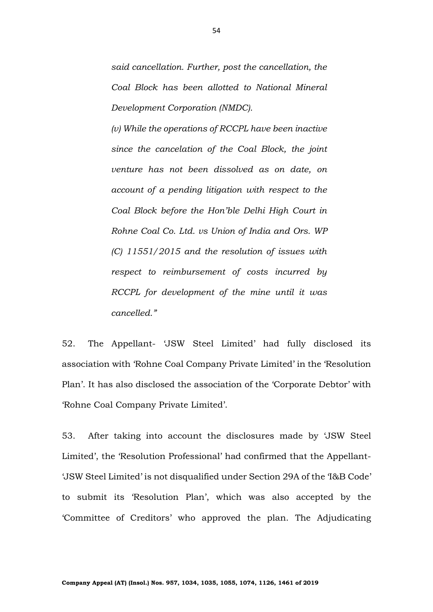*said cancellation. Further, post the cancellation, the Coal Block has been allotted to National Mineral Development Corporation (NMDC).*

*(v) While the operations of RCCPL have been inactive since the cancelation of the Coal Block, the joint venture has not been dissolved as on date, on account of a pending litigation with respect to the Coal Block before the Hon'ble Delhi High Court in Rohne Coal Co. Ltd. vs Union of India and Ors. WP (C) 11551/2015 and the resolution of issues with respect to reimbursement of costs incurred by RCCPL for development of the mine until it was cancelled."*

52. The Appellant- 'JSW Steel Limited' had fully disclosed its association with 'Rohne Coal Company Private Limited' in the 'Resolution Plan'. It has also disclosed the association of the 'Corporate Debtor' with 'Rohne Coal Company Private Limited'.

53. After taking into account the disclosures made by 'JSW Steel Limited', the 'Resolution Professional' had confirmed that the Appellant- 'JSW Steel Limited' is not disqualified under Section 29A of the 'I&B Code' to submit its 'Resolution Plan', which was also accepted by the 'Committee of Creditors' who approved the plan. The Adjudicating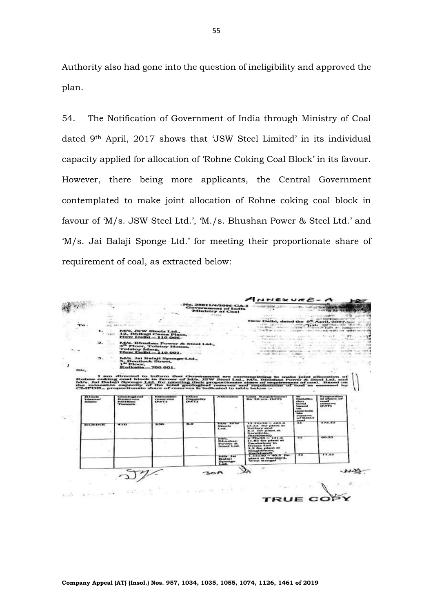Authority also had gone into the question of ineligibility and approved the plan.

54. The Notification of Government of India through Ministry of Coal dated 9th April, 2017 shows that 'JSW Steel Limited' in its individual capacity applied for allocation of 'Rohne Coking Coal Block' in its favour. However, there being more applicants, the Central Government contemplated to make joint allocation of Rohne coking coal block in favour of 'M/s. JSW Steel Ltd.', 'M./s. Bhushan Power & Steel Ltd.' and 'M/s. Jai Balaji Sponge Ltd.' for meeting their proportionate share of requirement of coal, as extracted below:

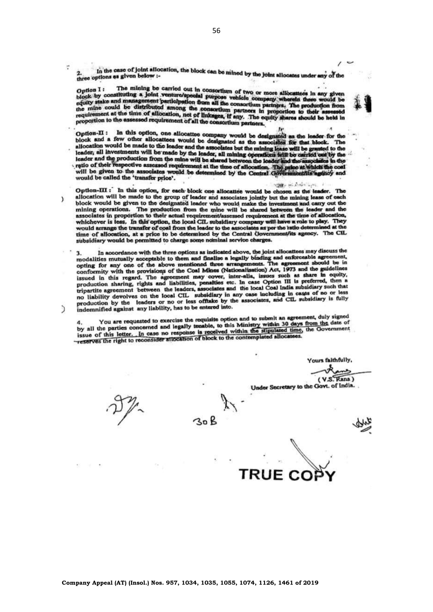In the case of joint allocation, the block can be mined by the joint allocates under any of the<br>ptions as given below :three options as given below :-

The mining be carried out in consortium of two or more allocattees in any given Option I: Option I: The mining be carried out in consortium of two or more allocatters in any given<br>block by constituting a joint venture/special purpose vehicle company wherein there would be<br>equity stake and management participati

Option-II : In this option, one allocative company would be designated as the leader for the allocation would be made to the leader and the associates but the mining lease will be granted to the leader, all investments wi reno or their respective assessed requirement at the time of allocation. The<br>will be given to the associates would be determined by the Central Got would be called the 'transfer price'.

**SERVICE STATE** Option-III : In this option, for each block one allocattee would be chosen as the leader. The allocation will be made to the group of leader and associates jointly but the mining lease of each block would be given to the designated leader who would make the investment and carry out the mining operations. The production from the mine will be shared between the leader and the associates in proportion to their actual requirement/assessed requirement at the time of allocation, whichever is less. In this option, the local CIL subsidiary company will have a role to play. They would arrange the transfer of coal from the leader to the associates as per the ratio determined at the time of allocation, at a price to be determined by the Central Government/its agency. The CIL subsidiary would be permitted to charge some nominal service charges.

In accordance with the three options as indicated above, the joint allocattees may discuss the з. 3. In accordance with the three options as introduct legally binding and enforceable agreement,<br>opting for any one of the above mentioned three arrangements. The agreement should be in conformity with the provisions of the Coal Mines (Nationalisation) Act, 1973 and the guidelines conformity with the provisions of the Coal Prince (variety inter-alia, issues such as share in equity, issued in this regard. The agreement may cover, inter-aua, issues such as since the production sharing, rights and liabilities, penalties etc. In case Option III is preferred, then a tripartite agreement between the leader tripartite agreement between the leaders, associates and the local coar beat and the cases of no or less<br>no liability devolves on the local CIL subsidiary in any case including in cases of no or less no liability devolves on the local CIL subsidiary in any case menuating in cases of no of these<br>production by the leaders or no or less offinate by the associates, and CIL subsidiary is fully indemnified against any liability, has to be entered into.

4. You are requested to exercise the requisite option and to submit an agreement, duly signed<br>by all the parties concerned and legally tenable, to this Ministry within 30 days from the date of<br>issue of this letter... In ca

 $30B$ 

Yours faithfully, √.À  $(V.S.\overline{Rana})$ 

Under Secretary to the Govt. of India.

Ŷ.

Y

D

TRUE C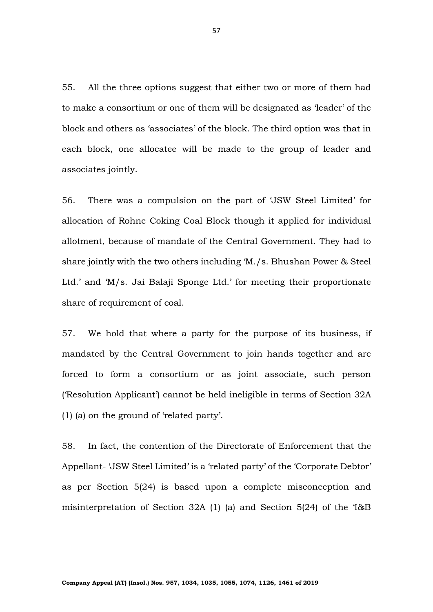55. All the three options suggest that either two or more of them had to make a consortium or one of them will be designated as 'leader' of the block and others as 'associates' of the block. The third option was that in each block, one allocatee will be made to the group of leader and associates jointly.

56. There was a compulsion on the part of 'JSW Steel Limited' for allocation of Rohne Coking Coal Block though it applied for individual allotment, because of mandate of the Central Government. They had to share jointly with the two others including 'M./s. Bhushan Power & Steel Ltd.' and 'M/s. Jai Balaji Sponge Ltd.' for meeting their proportionate share of requirement of coal.

57. We hold that where a party for the purpose of its business, if mandated by the Central Government to join hands together and are forced to form a consortium or as joint associate, such person ('Resolution Applicant') cannot be held ineligible in terms of Section 32A (1) (a) on the ground of 'related party'.

58. In fact, the contention of the Directorate of Enforcement that the Appellant- 'JSW Steel Limited' is a 'related party' of the 'Corporate Debtor' as per Section 5(24) is based upon a complete misconception and misinterpretation of Section 32A (1) (a) and Section 5(24) of the 'I&B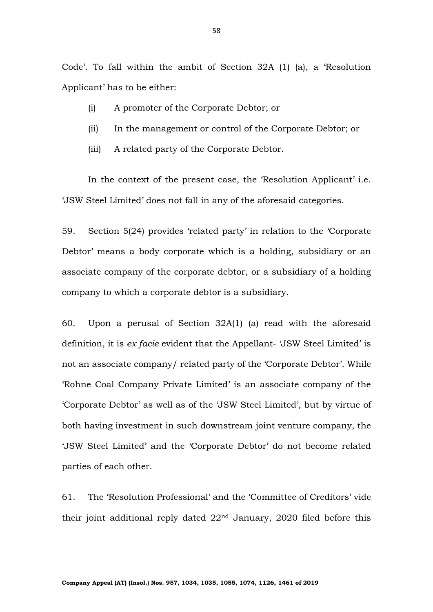Code'. To fall within the ambit of Section 32A (1) (a), a 'Resolution Applicant' has to be either:

- (i) A promoter of the Corporate Debtor; or
- (ii) In the management or control of the Corporate Debtor; or
- (iii) A related party of the Corporate Debtor.

In the context of the present case, the 'Resolution Applicant' i.e. 'JSW Steel Limited' does not fall in any of the aforesaid categories.

59. Section 5(24) provides 'related party' in relation to the 'Corporate Debtor' means a body corporate which is a holding, subsidiary or an associate company of the corporate debtor, or a subsidiary of a holding company to which a corporate debtor is a subsidiary.

60. Upon a perusal of Section 32A(1) (a) read with the aforesaid definition, it is *ex facie* evident that the Appellant- 'JSW Steel Limited' is not an associate company/ related party of the 'Corporate Debtor'. While 'Rohne Coal Company Private Limited' is an associate company of the 'Corporate Debtor' as well as of the 'JSW Steel Limited', but by virtue of both having investment in such downstream joint venture company, the 'JSW Steel Limited' and the 'Corporate Debtor' do not become related parties of each other.

61. The 'Resolution Professional' and the 'Committee of Creditors' vide their joint additional reply dated 22nd January, 2020 filed before this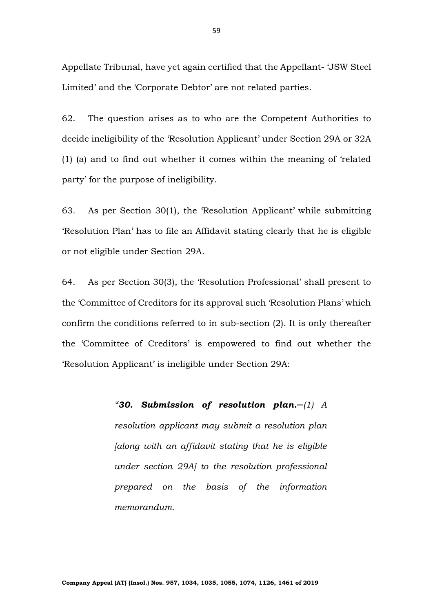Appellate Tribunal, have yet again certified that the Appellant- 'JSW Steel Limited' and the 'Corporate Debtor' are not related parties.

62. The question arises as to who are the Competent Authorities to decide ineligibility of the 'Resolution Applicant' under Section 29A or 32A (1) (a) and to find out whether it comes within the meaning of 'related party' for the purpose of ineligibility.

63. As per Section 30(1), the 'Resolution Applicant' while submitting 'Resolution Plan' has to file an Affidavit stating clearly that he is eligible or not eligible under Section 29A.

64. As per Section 30(3), the 'Resolution Professional' shall present to the 'Committee of Creditors for its approval such 'Resolution Plans' which confirm the conditions referred to in sub-section (2). It is only thereafter the 'Committee of Creditors' is empowered to find out whether the 'Resolution Applicant' is ineligible under Section 29A:

> *"30. Submission of resolution plan.─(1) A resolution applicant may submit a resolution plan [along with an affidavit stating that he is eligible under section 29A] to the resolution professional prepared on the basis of the information memorandum.*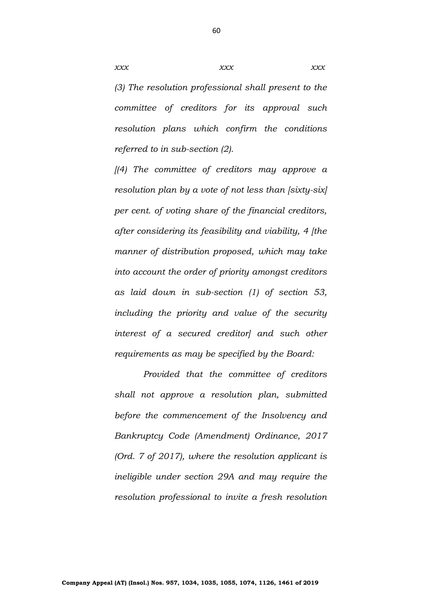*(3) The resolution professional shall present to the committee of creditors for its approval such resolution plans which confirm the conditions referred to in sub-section (2).* 

*[(4) The committee of creditors may approve a resolution plan by a vote of not less than [sixty-six] per cent. of voting share of the financial creditors, after considering its feasibility and viability, 4 [the manner of distribution proposed, which may take into account the order of priority amongst creditors as laid down in sub-section (1) of section 53, including the priority and value of the security interest of a secured creditor] and such other requirements as may be specified by the Board:*

*Provided that the committee of creditors shall not approve a resolution plan, submitted before the commencement of the Insolvency and Bankruptcy Code (Amendment) Ordinance, 2017 (Ord. 7 of 2017), where the resolution applicant is ineligible under section 29A and may require the resolution professional to invite a fresh resolution* 

60

*xxx xxx xxx xxx*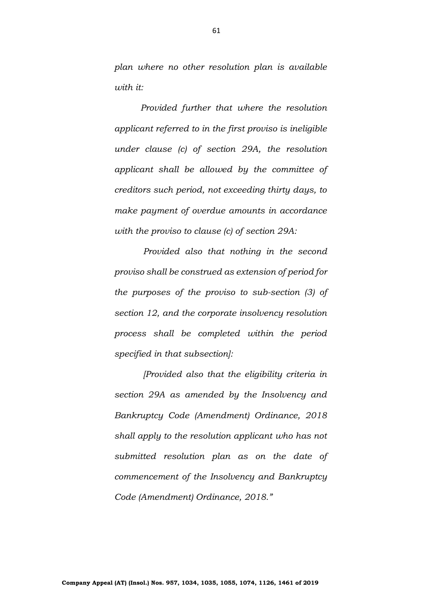*plan where no other resolution plan is available with it:* 

*Provided further that where the resolution applicant referred to in the first proviso is ineligible under clause (c) of section 29A, the resolution applicant shall be allowed by the committee of creditors such period, not exceeding thirty days, to make payment of overdue amounts in accordance with the proviso to clause (c) of section 29A:*

*Provided also that nothing in the second proviso shall be construed as extension of period for the purposes of the proviso to sub-section (3) of section 12, and the corporate insolvency resolution process shall be completed within the period specified in that subsection]:* 

*[Provided also that the eligibility criteria in section 29A as amended by the Insolvency and Bankruptcy Code (Amendment) Ordinance, 2018 shall apply to the resolution applicant who has not submitted resolution plan as on the date of commencement of the Insolvency and Bankruptcy Code (Amendment) Ordinance, 2018."*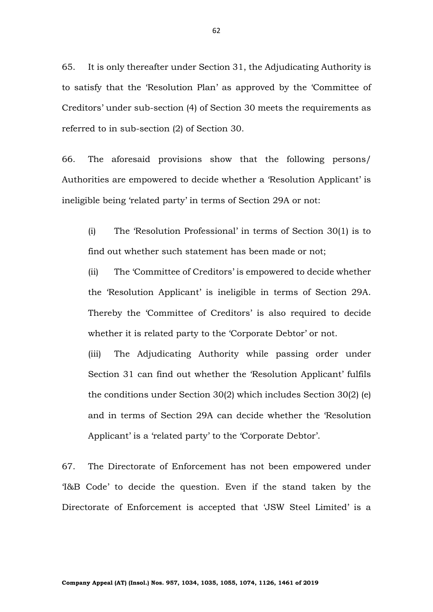65. It is only thereafter under Section 31, the Adjudicating Authority is to satisfy that the 'Resolution Plan' as approved by the 'Committee of Creditors' under sub-section (4) of Section 30 meets the requirements as referred to in sub-section (2) of Section 30.

66. The aforesaid provisions show that the following persons/ Authorities are empowered to decide whether a 'Resolution Applicant' is ineligible being 'related party' in terms of Section 29A or not:

(i) The 'Resolution Professional' in terms of Section 30(1) is to find out whether such statement has been made or not;

(ii) The 'Committee of Creditors' is empowered to decide whether the 'Resolution Applicant' is ineligible in terms of Section 29A. Thereby the 'Committee of Creditors' is also required to decide whether it is related party to the 'Corporate Debtor' or not.

(iii) The Adjudicating Authority while passing order under Section 31 can find out whether the 'Resolution Applicant' fulfils the conditions under Section 30(2) which includes Section 30(2) (e) and in terms of Section 29A can decide whether the 'Resolution Applicant' is a 'related party' to the 'Corporate Debtor'.

67. The Directorate of Enforcement has not been empowered under 'I&B Code' to decide the question. Even if the stand taken by the Directorate of Enforcement is accepted that 'JSW Steel Limited' is a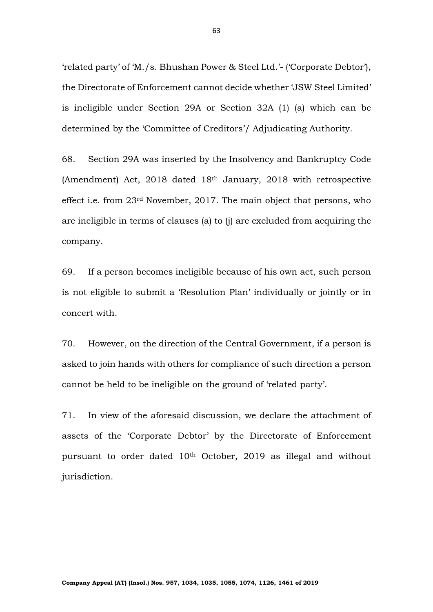'related party' of 'M./s. Bhushan Power & Steel Ltd.'- ('Corporate Debtor'), the Directorate of Enforcement cannot decide whether 'JSW Steel Limited' is ineligible under Section 29A or Section 32A (1) (a) which can be determined by the 'Committee of Creditors'/ Adjudicating Authority.

68. Section 29A was inserted by the Insolvency and Bankruptcy Code (Amendment) Act, 2018 dated 18th January, 2018 with retrospective effect i.e. from 23rd November, 2017. The main object that persons, who are ineligible in terms of clauses (a) to (j) are excluded from acquiring the company.

69. If a person becomes ineligible because of his own act, such person is not eligible to submit a 'Resolution Plan' individually or jointly or in concert with.

70. However, on the direction of the Central Government, if a person is asked to join hands with others for compliance of such direction a person cannot be held to be ineligible on the ground of 'related party'.

71. In view of the aforesaid discussion, we declare the attachment of assets of the 'Corporate Debtor' by the Directorate of Enforcement pursuant to order dated 10<sup>th</sup> October, 2019 as illegal and without jurisdiction.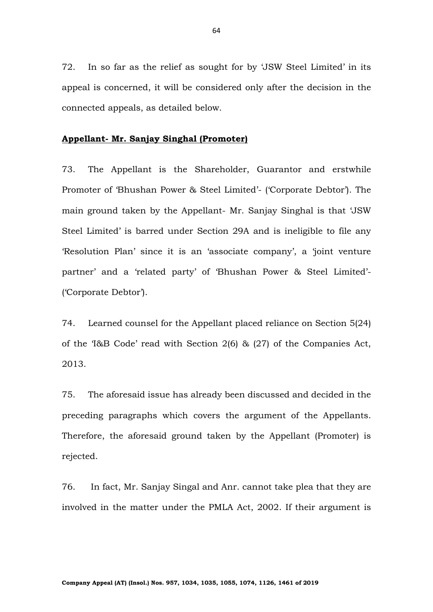72. In so far as the relief as sought for by 'JSW Steel Limited' in its appeal is concerned, it will be considered only after the decision in the connected appeals, as detailed below.

## **Appellant- Mr. Sanjay Singhal (Promoter)**

73. The Appellant is the Shareholder, Guarantor and erstwhile Promoter of 'Bhushan Power & Steel Limited'- ('Corporate Debtor'). The main ground taken by the Appellant- Mr. Sanjay Singhal is that 'JSW Steel Limited' is barred under Section 29A and is ineligible to file any 'Resolution Plan' since it is an 'associate company', a 'joint venture partner' and a 'related party' of 'Bhushan Power & Steel Limited'- ('Corporate Debtor').

74. Learned counsel for the Appellant placed reliance on Section 5(24) of the 'I&B Code' read with Section 2(6) & (27) of the Companies Act, 2013.

75. The aforesaid issue has already been discussed and decided in the preceding paragraphs which covers the argument of the Appellants. Therefore, the aforesaid ground taken by the Appellant (Promoter) is rejected.

76. In fact, Mr. Sanjay Singal and Anr. cannot take plea that they are involved in the matter under the PMLA Act, 2002. If their argument is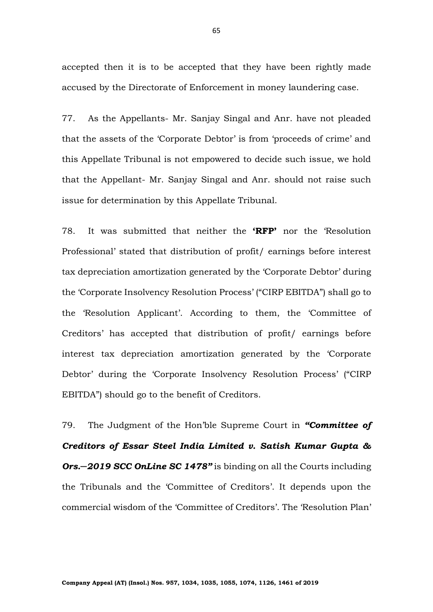accepted then it is to be accepted that they have been rightly made accused by the Directorate of Enforcement in money laundering case.

77. As the Appellants- Mr. Sanjay Singal and Anr. have not pleaded that the assets of the 'Corporate Debtor' is from 'proceeds of crime' and this Appellate Tribunal is not empowered to decide such issue, we hold that the Appellant- Mr. Sanjay Singal and Anr. should not raise such issue for determination by this Appellate Tribunal.

78. It was submitted that neither the **'RFP'** nor the 'Resolution Professional' stated that distribution of profit/ earnings before interest tax depreciation amortization generated by the 'Corporate Debtor' during the 'Corporate Insolvency Resolution Process' ("CIRP EBITDA") shall go to the 'Resolution Applicant'. According to them, the 'Committee of Creditors' has accepted that distribution of profit/ earnings before interest tax depreciation amortization generated by the 'Corporate Debtor' during the 'Corporate Insolvency Resolution Process' ("CIRP EBITDA") should go to the benefit of Creditors.

79. The Judgment of the Hon'ble Supreme Court in *"Committee of Creditors of Essar Steel India Limited v. Satish Kumar Gupta & Ors.─2019 SCC OnLine SC 1478"* is binding on all the Courts including the Tribunals and the 'Committee of Creditors'. It depends upon the commercial wisdom of the 'Committee of Creditors'. The 'Resolution Plan'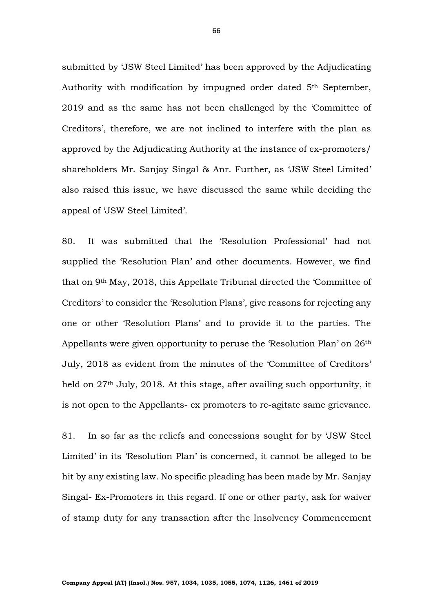submitted by 'JSW Steel Limited' has been approved by the Adjudicating Authority with modification by impugned order dated 5<sup>th</sup> September, 2019 and as the same has not been challenged by the 'Committee of Creditors', therefore, we are not inclined to interfere with the plan as approved by the Adjudicating Authority at the instance of ex-promoters/ shareholders Mr. Sanjay Singal & Anr. Further, as 'JSW Steel Limited' also raised this issue, we have discussed the same while deciding the appeal of 'JSW Steel Limited'.

80. It was submitted that the 'Resolution Professional' had not supplied the 'Resolution Plan' and other documents. However, we find that on 9th May, 2018, this Appellate Tribunal directed the 'Committee of Creditors' to consider the 'Resolution Plans', give reasons for rejecting any one or other 'Resolution Plans' and to provide it to the parties. The Appellants were given opportunity to peruse the 'Resolution Plan' on 26th July, 2018 as evident from the minutes of the 'Committee of Creditors' held on 27<sup>th</sup> July, 2018. At this stage, after availing such opportunity, it is not open to the Appellants- ex promoters to re-agitate same grievance.

81. In so far as the reliefs and concessions sought for by 'JSW Steel Limited' in its 'Resolution Plan' is concerned, it cannot be alleged to be hit by any existing law. No specific pleading has been made by Mr. Sanjay Singal- Ex-Promoters in this regard. If one or other party, ask for waiver of stamp duty for any transaction after the Insolvency Commencement

66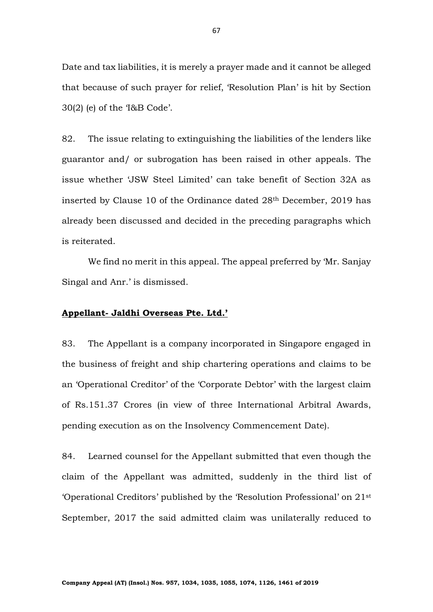Date and tax liabilities, it is merely a prayer made and it cannot be alleged that because of such prayer for relief, 'Resolution Plan' is hit by Section 30(2) (e) of the 'I&B Code'.

82. The issue relating to extinguishing the liabilities of the lenders like guarantor and/ or subrogation has been raised in other appeals. The issue whether 'JSW Steel Limited' can take benefit of Section 32A as inserted by Clause 10 of the Ordinance dated 28th December, 2019 has already been discussed and decided in the preceding paragraphs which is reiterated.

We find no merit in this appeal. The appeal preferred by 'Mr. Sanjay Singal and Anr.' is dismissed.

## **Appellant- Jaldhi Overseas Pte. Ltd.'**

83. The Appellant is a company incorporated in Singapore engaged in the business of freight and ship chartering operations and claims to be an 'Operational Creditor' of the 'Corporate Debtor' with the largest claim of Rs.151.37 Crores (in view of three International Arbitral Awards, pending execution as on the Insolvency Commencement Date).

84. Learned counsel for the Appellant submitted that even though the claim of the Appellant was admitted, suddenly in the third list of 'Operational Creditors' published by the 'Resolution Professional' on 21st September, 2017 the said admitted claim was unilaterally reduced to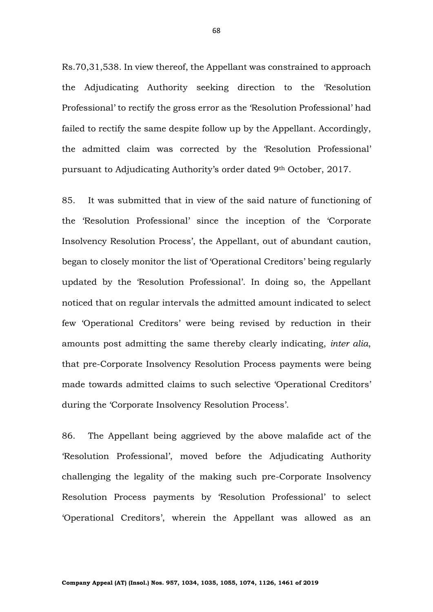Rs.70,31,538. In view thereof, the Appellant was constrained to approach the Adjudicating Authority seeking direction to the 'Resolution Professional' to rectify the gross error as the 'Resolution Professional' had failed to rectify the same despite follow up by the Appellant. Accordingly, the admitted claim was corrected by the 'Resolution Professional' pursuant to Adjudicating Authority's order dated 9th October, 2017.

85. It was submitted that in view of the said nature of functioning of the 'Resolution Professional' since the inception of the 'Corporate Insolvency Resolution Process', the Appellant, out of abundant caution, began to closely monitor the list of 'Operational Creditors' being regularly updated by the 'Resolution Professional'. In doing so, the Appellant noticed that on regular intervals the admitted amount indicated to select few 'Operational Creditors' were being revised by reduction in their amounts post admitting the same thereby clearly indicating, *inter alia*, that pre-Corporate Insolvency Resolution Process payments were being made towards admitted claims to such selective 'Operational Creditors' during the 'Corporate Insolvency Resolution Process'.

86. The Appellant being aggrieved by the above malafide act of the 'Resolution Professional', moved before the Adjudicating Authority challenging the legality of the making such pre-Corporate Insolvency Resolution Process payments by 'Resolution Professional' to select 'Operational Creditors', wherein the Appellant was allowed as an

68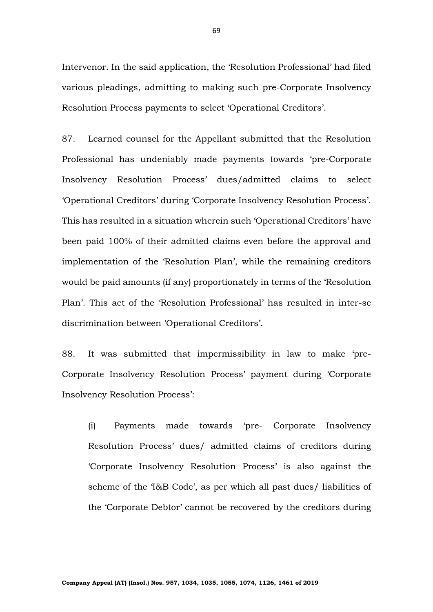Intervenor. In the said application, the 'Resolution Professional' had filed various pleadings, admitting to making such pre-Corporate Insolvency Resolution Process payments to select 'Operational Creditors'.

87. Learned counsel for the Appellant submitted that the Resolution Professional has undeniably made payments towards 'pre-Corporate Insolvency Resolution Process' dues/admitted claims to select 'Operational Creditors' during 'Corporate Insolvency Resolution Process'. This has resulted in a situation wherein such 'Operational Creditors' have been paid 100% of their admitted claims even before the approval and implementation of the 'Resolution Plan', while the remaining creditors would be paid amounts (if any) proportionately in terms of the 'Resolution Plan'. This act of the 'Resolution Professional' has resulted in inter-se discrimination between 'Operational Creditors'.

88. It was submitted that impermissibility in law to make 'pre-Corporate Insolvency Resolution Process' payment during 'Corporate Insolvency Resolution Process':

(i) Payments made towards 'pre- Corporate Insolvency Resolution Process' dues/ admitted claims of creditors during 'Corporate Insolvency Resolution Process' is also against the scheme of the 'I&B Code', as per which all past dues/ liabilities of the 'Corporate Debtor' cannot be recovered by the creditors during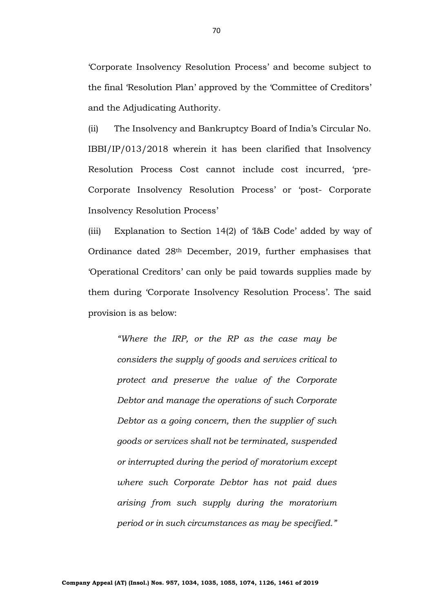'Corporate Insolvency Resolution Process' and become subject to the final 'Resolution Plan' approved by the 'Committee of Creditors' and the Adjudicating Authority.

(ii) The Insolvency and Bankruptcy Board of India's Circular No. IBBI/IP/013/2018 wherein it has been clarified that Insolvency Resolution Process Cost cannot include cost incurred, 'pre-Corporate Insolvency Resolution Process' or 'post- Corporate Insolvency Resolution Process'

(iii) Explanation to Section 14(2) of 'I&B Code' added by way of Ordinance dated 28th December, 2019, further emphasises that 'Operational Creditors' can only be paid towards supplies made by them during 'Corporate Insolvency Resolution Process'. The said provision is as below:

*"Where the IRP, or the RP as the case may be considers the supply of goods and services critical to protect and preserve the value of the Corporate Debtor and manage the operations of such Corporate Debtor as a going concern, then the supplier of such goods or services shall not be terminated, suspended or interrupted during the period of moratorium except where such Corporate Debtor has not paid dues arising from such supply during the moratorium period or in such circumstances as may be specified."*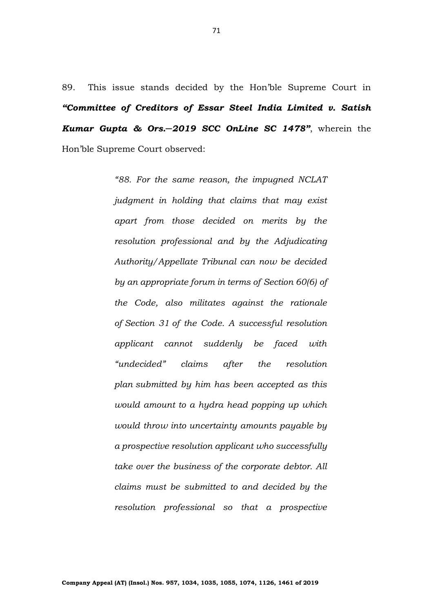89. This issue stands decided by the Hon'ble Supreme Court in *"Committee of Creditors of Essar Steel India Limited v. Satish Kumar Gupta & Ors.─2019 SCC OnLine SC 1478"*, wherein the Hon'ble Supreme Court observed:

> *"88. For the same reason, the impugned NCLAT judgment in holding that claims that may exist apart from those decided on merits by the resolution professional and by the Adjudicating Authority/Appellate Tribunal can now be decided by an appropriate forum in terms of [Section 60\(6\)](https://indiankanoon.org/doc/1233094/) of the Code, also militates against the rationale of [Section 31](https://indiankanoon.org/doc/895977/) of the Code. A successful resolution applicant cannot suddenly be faced with "undecided" claims after the resolution plan submitted by him has been accepted as this would amount to a hydra head popping up which would throw into uncertainty amounts payable by a prospective resolution applicant who successfully take over the business of the corporate debtor. All claims must be submitted to and decided by the resolution professional so that a prospective*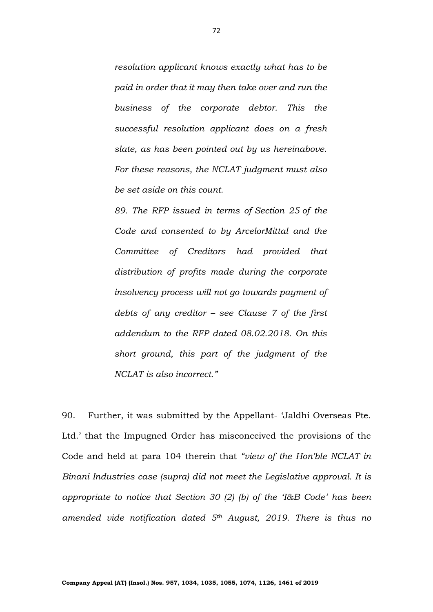*resolution applicant knows exactly what has to be paid in order that it may then take over and run the business of the corporate debtor. This the successful resolution applicant does on a fresh slate, as has been pointed out by us hereinabove. For these reasons, the NCLAT judgment must also be set aside on this count.*

*89. The RFP issued in terms of [Section 25](https://indiankanoon.org/doc/1588033/) of the Code and consented to by ArcelorMittal and the Committee of Creditors had provided that distribution of profits made during the corporate insolvency process will not go towards payment of debts of any creditor – see Clause 7 of the first addendum to the RFP dated 08.02.2018. On this short ground, this part of the judgment of the NCLAT is also incorrect."*

90. Further, it was submitted by the Appellant- 'Jaldhi Overseas Pte. Ltd.' that the Impugned Order has misconceived the provisions of the Code and held at para 104 therein that *"view of the Hon'ble NCLAT in Binani Industries case (supra) did not meet the Legislative approval. It is appropriate to notice that Section 30 (2) (b) of the 'I&B Code' has been amended vide notification dated 5th August, 2019. There is thus no*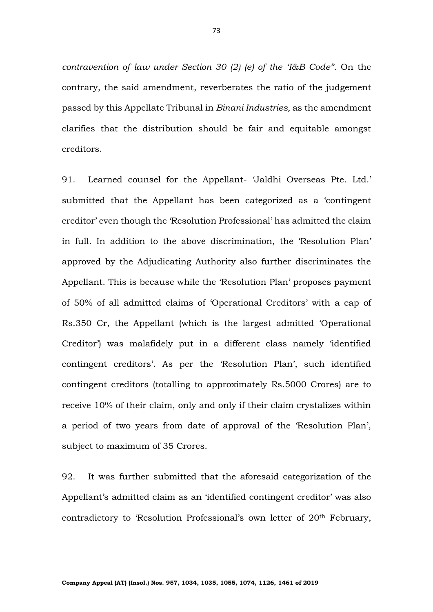*contravention of law under Section 30 (2) (e) of the 'I&B Code".* On the contrary, the said amendment, reverberates the ratio of the judgement passed by this Appellate Tribunal in *Binani Industries,* as the amendment clarifies that the distribution should be fair and equitable amongst creditors.

91. Learned counsel for the Appellant- 'Jaldhi Overseas Pte. Ltd.' submitted that the Appellant has been categorized as a 'contingent creditor' even though the 'Resolution Professional' has admitted the claim in full. In addition to the above discrimination, the 'Resolution Plan' approved by the Adjudicating Authority also further discriminates the Appellant. This is because while the 'Resolution Plan' proposes payment of 50% of all admitted claims of 'Operational Creditors' with a cap of Rs.350 Cr, the Appellant (which is the largest admitted 'Operational Creditor') was malafidely put in a different class namely 'identified contingent creditors'. As per the 'Resolution Plan', such identified contingent creditors (totalling to approximately Rs.5000 Crores) are to receive 10% of their claim, only and only if their claim crystalizes within a period of two years from date of approval of the 'Resolution Plan', subject to maximum of 35 Crores.

92. It was further submitted that the aforesaid categorization of the Appellant's admitted claim as an 'identified contingent creditor' was also contradictory to 'Resolution Professional's own letter of 20th February,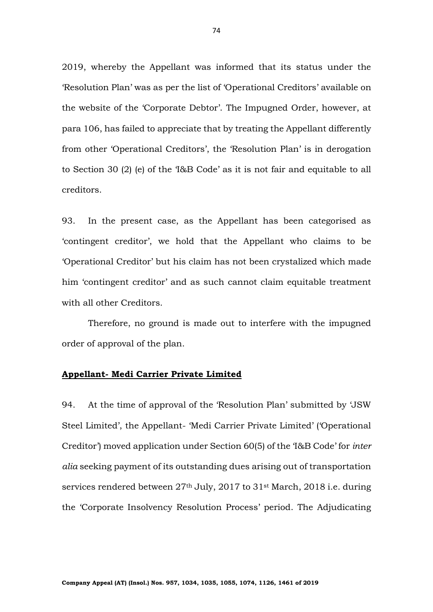2019, whereby the Appellant was informed that its status under the 'Resolution Plan' was as per the list of 'Operational Creditors' available on the website of the 'Corporate Debtor'. The Impugned Order, however, at para 106, has failed to appreciate that by treating the Appellant differently from other 'Operational Creditors', the 'Resolution Plan' is in derogation to Section 30 (2) (e) of the 'I&B Code' as it is not fair and equitable to all creditors.

93. In the present case, as the Appellant has been categorised as 'contingent creditor', we hold that the Appellant who claims to be 'Operational Creditor' but his claim has not been crystalized which made him 'contingent creditor' and as such cannot claim equitable treatment with all other Creditors.

Therefore, no ground is made out to interfere with the impugned order of approval of the plan.

## **Appellant- Medi Carrier Private Limited**

94. At the time of approval of the 'Resolution Plan' submitted by 'JSW Steel Limited', the Appellant- 'Medi Carrier Private Limited' ('Operational Creditor') moved application under Section 60(5) of the 'I&B Code' for *inter alia* seeking payment of its outstanding dues arising out of transportation services rendered between 27th July, 2017 to 31st March, 2018 i.e. during the 'Corporate Insolvency Resolution Process' period. The Adjudicating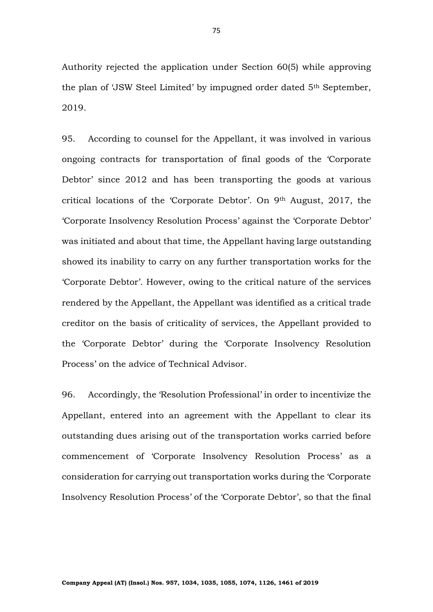Authority rejected the application under Section 60(5) while approving the plan of 'JSW Steel Limited' by impugned order dated 5th September, 2019.

95. According to counsel for the Appellant, it was involved in various ongoing contracts for transportation of final goods of the 'Corporate Debtor' since 2012 and has been transporting the goods at various critical locations of the 'Corporate Debtor'. On 9th August, 2017, the 'Corporate Insolvency Resolution Process' against the 'Corporate Debtor' was initiated and about that time, the Appellant having large outstanding showed its inability to carry on any further transportation works for the 'Corporate Debtor'. However, owing to the critical nature of the services rendered by the Appellant, the Appellant was identified as a critical trade creditor on the basis of criticality of services, the Appellant provided to the 'Corporate Debtor' during the 'Corporate Insolvency Resolution Process' on the advice of Technical Advisor.

96. Accordingly, the 'Resolution Professional' in order to incentivize the Appellant, entered into an agreement with the Appellant to clear its outstanding dues arising out of the transportation works carried before commencement of 'Corporate Insolvency Resolution Process' as a consideration for carrying out transportation works during the 'Corporate Insolvency Resolution Process' of the 'Corporate Debtor', so that the final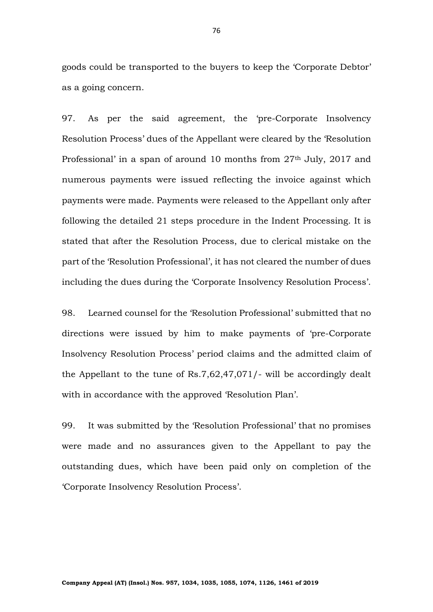goods could be transported to the buyers to keep the 'Corporate Debtor' as a going concern.

97. As per the said agreement, the 'pre-Corporate Insolvency Resolution Process' dues of the Appellant were cleared by the 'Resolution Professional' in a span of around 10 months from 27<sup>th</sup> July, 2017 and numerous payments were issued reflecting the invoice against which payments were made. Payments were released to the Appellant only after following the detailed 21 steps procedure in the Indent Processing. It is stated that after the Resolution Process, due to clerical mistake on the part of the 'Resolution Professional', it has not cleared the number of dues including the dues during the 'Corporate Insolvency Resolution Process'.

98. Learned counsel for the 'Resolution Professional' submitted that no directions were issued by him to make payments of 'pre-Corporate Insolvency Resolution Process' period claims and the admitted claim of the Appellant to the tune of Rs.7,62,47,071/- will be accordingly dealt with in accordance with the approved 'Resolution Plan'.

99. It was submitted by the 'Resolution Professional' that no promises were made and no assurances given to the Appellant to pay the outstanding dues, which have been paid only on completion of the 'Corporate Insolvency Resolution Process'.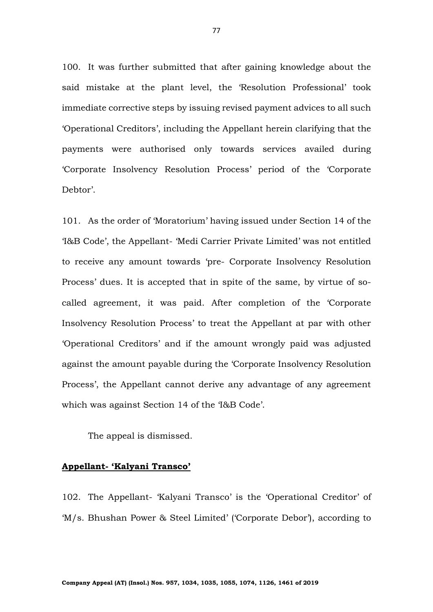100. It was further submitted that after gaining knowledge about the said mistake at the plant level, the 'Resolution Professional' took immediate corrective steps by issuing revised payment advices to all such 'Operational Creditors', including the Appellant herein clarifying that the payments were authorised only towards services availed during 'Corporate Insolvency Resolution Process' period of the 'Corporate Debtor'.

101. As the order of 'Moratorium' having issued under Section 14 of the 'I&B Code', the Appellant- 'Medi Carrier Private Limited' was not entitled to receive any amount towards 'pre- Corporate Insolvency Resolution Process' dues. It is accepted that in spite of the same, by virtue of socalled agreement, it was paid. After completion of the 'Corporate Insolvency Resolution Process' to treat the Appellant at par with other 'Operational Creditors' and if the amount wrongly paid was adjusted against the amount payable during the 'Corporate Insolvency Resolution Process', the Appellant cannot derive any advantage of any agreement which was against Section 14 of the 'I&B Code'.

The appeal is dismissed.

# **Appellant- 'Kalyani Transco'**

102. The Appellant- 'Kalyani Transco' is the 'Operational Creditor' of 'M/s. Bhushan Power & Steel Limited' ('Corporate Debor'), according to

77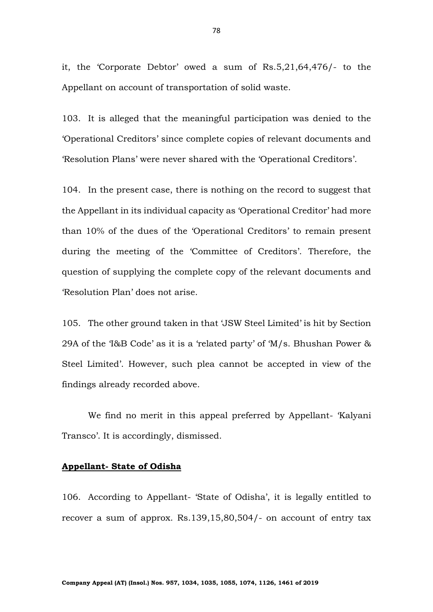it, the 'Corporate Debtor' owed a sum of Rs.5,21,64,476/- to the Appellant on account of transportation of solid waste.

103. It is alleged that the meaningful participation was denied to the 'Operational Creditors' since complete copies of relevant documents and 'Resolution Plans' were never shared with the 'Operational Creditors'.

104. In the present case, there is nothing on the record to suggest that the Appellant in its individual capacity as 'Operational Creditor' had more than 10% of the dues of the 'Operational Creditors' to remain present during the meeting of the 'Committee of Creditors'. Therefore, the question of supplying the complete copy of the relevant documents and 'Resolution Plan' does not arise.

105. The other ground taken in that 'JSW Steel Limited' is hit by Section 29A of the 'I&B Code' as it is a 'related party' of 'M/s. Bhushan Power & Steel Limited'. However, such plea cannot be accepted in view of the findings already recorded above.

We find no merit in this appeal preferred by Appellant- 'Kalyani Transco'. It is accordingly, dismissed.

## **Appellant- State of Odisha**

106. According to Appellant- 'State of Odisha', it is legally entitled to recover a sum of approx. Rs.139,15,80,504/- on account of entry tax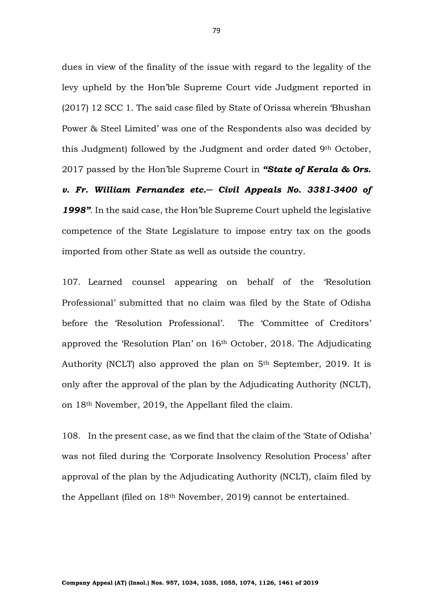dues in view of the finality of the issue with regard to the legality of the levy upheld by the Hon'ble Supreme Court vide Judgment reported in (2017) 12 SCC 1. The said case filed by State of Orissa wherein 'Bhushan Power & Steel Limited' was one of the Respondents also was decided by this Judgment) followed by the Judgment and order dated 9th October, 2017 passed by the Hon'ble Supreme Court in *"State of Kerala & Ors. v. Fr. William Fernandez etc.─ Civil Appeals No. 3381-3400 of* 

*1998"*. In the said case, the Hon'ble Supreme Court upheld the legislative competence of the State Legislature to impose entry tax on the goods imported from other State as well as outside the country.

107. Learned counsel appearing on behalf of the 'Resolution Professional' submitted that no claim was filed by the State of Odisha before the 'Resolution Professional'. The 'Committee of Creditors' approved the 'Resolution Plan' on 16th October, 2018. The Adjudicating Authority (NCLT) also approved the plan on 5th September, 2019. It is only after the approval of the plan by the Adjudicating Authority (NCLT), on 18th November, 2019, the Appellant filed the claim.

108. In the present case, as we find that the claim of the 'State of Odisha' was not filed during the 'Corporate Insolvency Resolution Process' after approval of the plan by the Adjudicating Authority (NCLT), claim filed by the Appellant (filed on 18th November, 2019) cannot be entertained.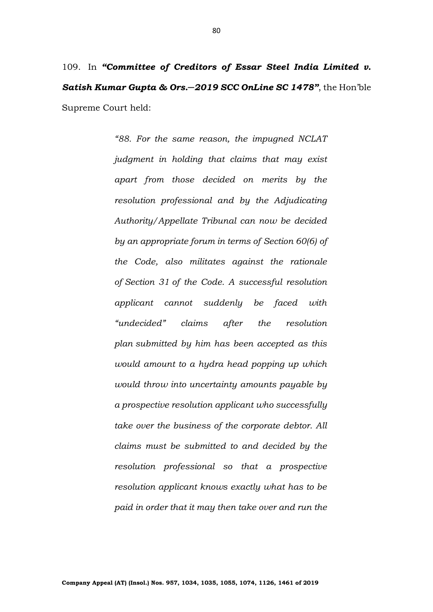109. In *"Committee of Creditors of Essar Steel India Limited v. Satish Kumar Gupta & Ors.─2019 SCC OnLine SC 1478"*, the Hon'ble Supreme Court held:

> *"88. For the same reason, the impugned NCLAT judgment in holding that claims that may exist apart from those decided on merits by the resolution professional and by the Adjudicating Authority/Appellate Tribunal can now be decided by an appropriate forum in terms of [Section 60\(6\)](https://indiankanoon.org/doc/1233094/) of the Code, also militates against the rationale of [Section 31](https://indiankanoon.org/doc/895977/) of the Code. A successful resolution applicant cannot suddenly be faced with "undecided" claims after the resolution plan submitted by him has been accepted as this would amount to a hydra head popping up which would throw into uncertainty amounts payable by a prospective resolution applicant who successfully take over the business of the corporate debtor. All claims must be submitted to and decided by the resolution professional so that a prospective resolution applicant knows exactly what has to be paid in order that it may then take over and run the*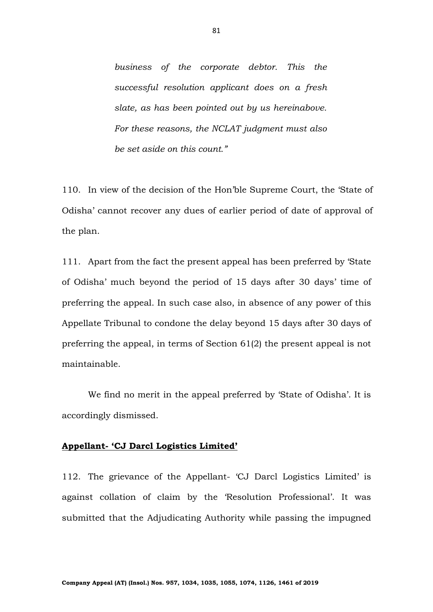*business of the corporate debtor. This the successful resolution applicant does on a fresh slate, as has been pointed out by us hereinabove. For these reasons, the NCLAT judgment must also be set aside on this count."*

110. In view of the decision of the Hon'ble Supreme Court, the 'State of Odisha' cannot recover any dues of earlier period of date of approval of the plan.

111. Apart from the fact the present appeal has been preferred by 'State of Odisha' much beyond the period of 15 days after 30 days' time of preferring the appeal. In such case also, in absence of any power of this Appellate Tribunal to condone the delay beyond 15 days after 30 days of preferring the appeal, in terms of Section 61(2) the present appeal is not maintainable.

We find no merit in the appeal preferred by 'State of Odisha'. It is accordingly dismissed.

### **Appellant- 'CJ Darcl Logistics Limited'**

112. The grievance of the Appellant- 'CJ Darcl Logistics Limited' is against collation of claim by the 'Resolution Professional'. It was submitted that the Adjudicating Authority while passing the impugned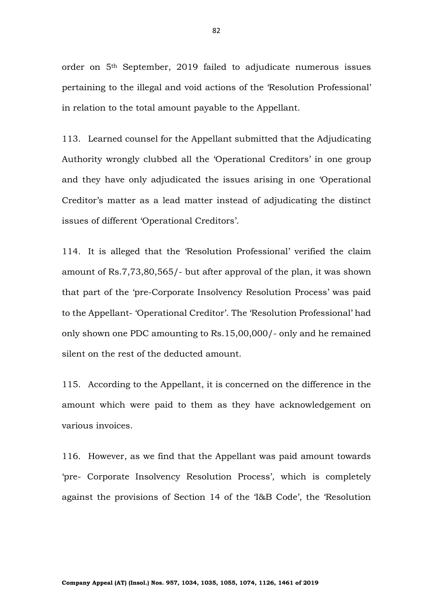order on 5th September, 2019 failed to adjudicate numerous issues pertaining to the illegal and void actions of the 'Resolution Professional' in relation to the total amount payable to the Appellant.

113. Learned counsel for the Appellant submitted that the Adjudicating Authority wrongly clubbed all the 'Operational Creditors' in one group and they have only adjudicated the issues arising in one 'Operational Creditor's matter as a lead matter instead of adjudicating the distinct issues of different 'Operational Creditors'.

114. It is alleged that the 'Resolution Professional' verified the claim amount of Rs.7,73,80,565/- but after approval of the plan, it was shown that part of the 'pre-Corporate Insolvency Resolution Process' was paid to the Appellant- 'Operational Creditor'. The 'Resolution Professional' had only shown one PDC amounting to Rs.15,00,000/- only and he remained silent on the rest of the deducted amount.

115. According to the Appellant, it is concerned on the difference in the amount which were paid to them as they have acknowledgement on various invoices.

116. However, as we find that the Appellant was paid amount towards 'pre- Corporate Insolvency Resolution Process', which is completely against the provisions of Section 14 of the 'I&B Code', the 'Resolution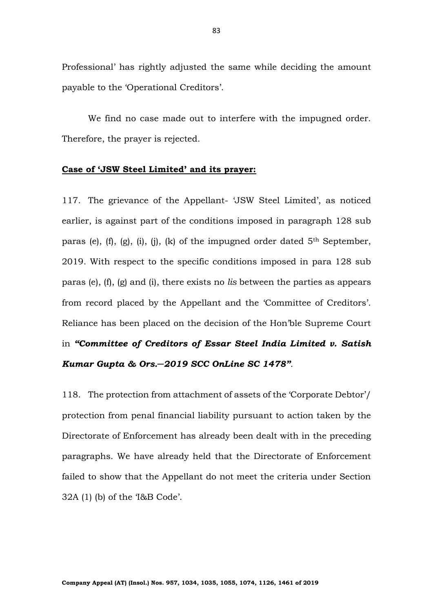Professional' has rightly adjusted the same while deciding the amount payable to the 'Operational Creditors'.

We find no case made out to interfere with the impugned order. Therefore, the prayer is rejected.

#### **Case of 'JSW Steel Limited' and its prayer:**

117. The grievance of the Appellant- 'JSW Steel Limited', as noticed earlier, is against part of the conditions imposed in paragraph 128 sub paras (e),  $(f)$ ,  $(g)$ ,  $(i)$ ,  $(j)$ ,  $(k)$  of the impugned order dated  $5<sup>th</sup>$  September, 2019. With respect to the specific conditions imposed in para 128 sub paras (e), (f), (g) and (i), there exists no *lis* between the parties as appears from record placed by the Appellant and the 'Committee of Creditors'. Reliance has been placed on the decision of the Hon'ble Supreme Court in *"Committee of Creditors of Essar Steel India Limited v. Satish Kumar Gupta & Ors.─2019 SCC OnLine SC 1478"*.

118. The protection from attachment of assets of the 'Corporate Debtor'/ protection from penal financial liability pursuant to action taken by the Directorate of Enforcement has already been dealt with in the preceding paragraphs. We have already held that the Directorate of Enforcement failed to show that the Appellant do not meet the criteria under Section 32A (1) (b) of the 'I&B Code'.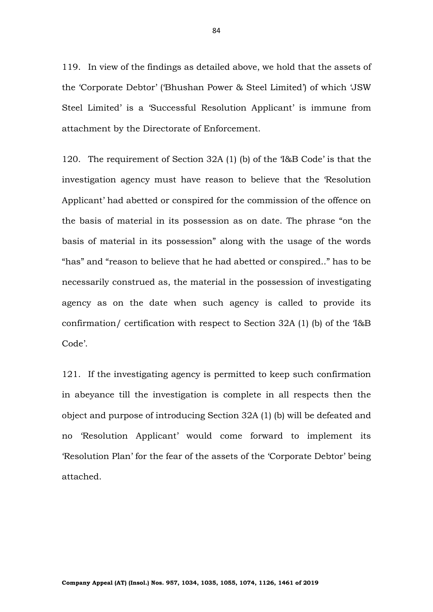119. In view of the findings as detailed above, we hold that the assets of the 'Corporate Debtor' ('Bhushan Power & Steel Limited') of which 'JSW Steel Limited' is a 'Successful Resolution Applicant' is immune from attachment by the Directorate of Enforcement.

120. The requirement of Section 32A (1) (b) of the 'I&B Code' is that the investigation agency must have reason to believe that the 'Resolution Applicant' had abetted or conspired for the commission of the offence on the basis of material in its possession as on date. The phrase "on the basis of material in its possession" along with the usage of the words "has" and "reason to believe that he had abetted or conspired.." has to be necessarily construed as, the material in the possession of investigating agency as on the date when such agency is called to provide its confirmation/ certification with respect to Section 32A (1) (b) of the 'I&B Code'.

121. If the investigating agency is permitted to keep such confirmation in abeyance till the investigation is complete in all respects then the object and purpose of introducing Section 32A (1) (b) will be defeated and no 'Resolution Applicant' would come forward to implement its 'Resolution Plan' for the fear of the assets of the 'Corporate Debtor' being attached.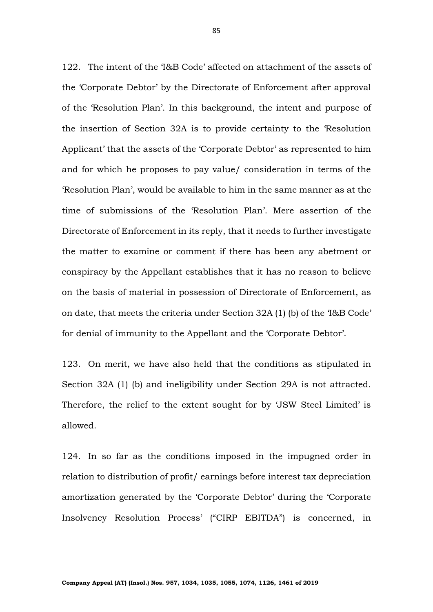122. The intent of the 'I&B Code' affected on attachment of the assets of the 'Corporate Debtor' by the Directorate of Enforcement after approval of the 'Resolution Plan'. In this background, the intent and purpose of the insertion of Section 32A is to provide certainty to the 'Resolution Applicant' that the assets of the 'Corporate Debtor' as represented to him and for which he proposes to pay value/ consideration in terms of the 'Resolution Plan', would be available to him in the same manner as at the time of submissions of the 'Resolution Plan'. Mere assertion of the Directorate of Enforcement in its reply, that it needs to further investigate the matter to examine or comment if there has been any abetment or conspiracy by the Appellant establishes that it has no reason to believe on the basis of material in possession of Directorate of Enforcement, as on date, that meets the criteria under Section 32A (1) (b) of the 'I&B Code' for denial of immunity to the Appellant and the 'Corporate Debtor'.

123. On merit, we have also held that the conditions as stipulated in Section 32A (1) (b) and ineligibility under Section 29A is not attracted. Therefore, the relief to the extent sought for by 'JSW Steel Limited' is allowed.

124. In so far as the conditions imposed in the impugned order in relation to distribution of profit/ earnings before interest tax depreciation amortization generated by the 'Corporate Debtor' during the 'Corporate Insolvency Resolution Process' ("CIRP EBITDA") is concerned, in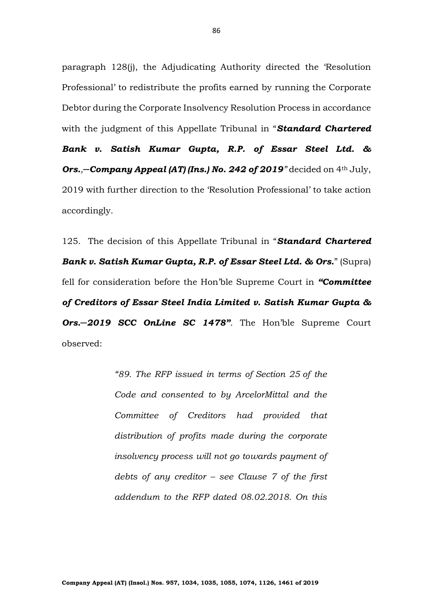paragraph 128(j), the Adjudicating Authority directed the 'Resolution Professional' to redistribute the profits earned by running the Corporate Debtor during the Corporate Insolvency Resolution Process in accordance with the judgment of this Appellate Tribunal in "*Standard Chartered Bank v. Satish Kumar Gupta, R.P. of Essar Steel Ltd. & Ors.,─Company Appeal (AT) (Ins.) No. 242 of 2019"* decided on 4th July, 2019 with further direction to the 'Resolution Professional' to take action accordingly.

125. The decision of this Appellate Tribunal in "*Standard Chartered Bank v. Satish Kumar Gupta, R.P. of Essar Steel Ltd. & Ors.*" (Supra) fell for consideration before the Hon'ble Supreme Court in *"Committee of Creditors of Essar Steel India Limited v. Satish Kumar Gupta & Ors.─2019 SCC OnLine SC 1478"*. The Hon'ble Supreme Court observed:

> *"89. The RFP issued in terms of [Section 25](https://indiankanoon.org/doc/1588033/) of the Code and consented to by ArcelorMittal and the Committee of Creditors had provided that distribution of profits made during the corporate insolvency process will not go towards payment of debts of any creditor – see Clause 7 of the first addendum to the RFP dated 08.02.2018. On this*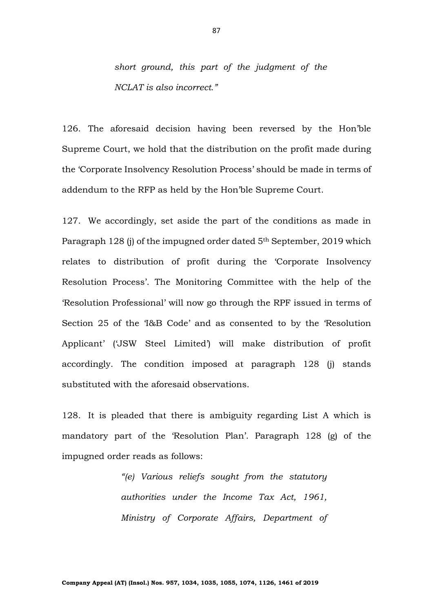*short ground, this part of the judgment of the NCLAT is also incorrect."*

126. The aforesaid decision having been reversed by the Hon'ble Supreme Court, we hold that the distribution on the profit made during the 'Corporate Insolvency Resolution Process' should be made in terms of addendum to the RFP as held by the Hon'ble Supreme Court.

127. We accordingly, set aside the part of the conditions as made in Paragraph 128 (j) of the impugned order dated 5<sup>th</sup> September, 2019 which relates to distribution of profit during the 'Corporate Insolvency Resolution Process'. The Monitoring Committee with the help of the 'Resolution Professional' will now go through the RPF issued in terms of Section 25 of the 'I&B Code' and as consented to by the 'Resolution Applicant' ('JSW Steel Limited') will make distribution of profit accordingly. The condition imposed at paragraph 128 (j) stands substituted with the aforesaid observations.

128. It is pleaded that there is ambiguity regarding List A which is mandatory part of the 'Resolution Plan'. Paragraph 128 (g) of the impugned order reads as follows:

> *"(e) Various reliefs sought from the statutory authorities under the Income Tax Act, 1961, Ministry of Corporate Affairs, Department of*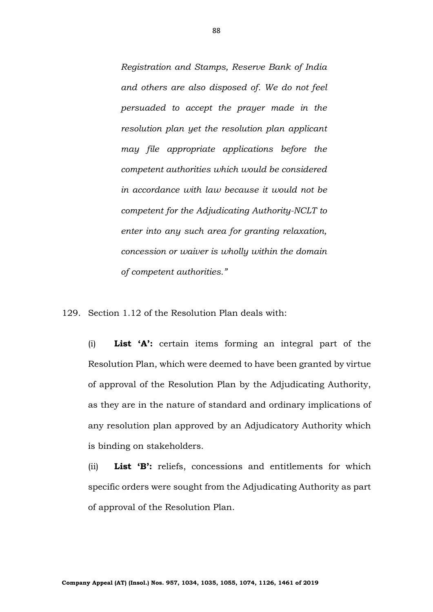*Registration and Stamps, Reserve Bank of India and others are also disposed of. We do not feel persuaded to accept the prayer made in the resolution plan yet the resolution plan applicant may file appropriate applications before the competent authorities which would be considered in accordance with law because it would not be competent for the Adjudicating Authority-NCLT to enter into any such area for granting relaxation, concession or waiver is wholly within the domain of competent authorities."*

129. Section 1.12 of the Resolution Plan deals with:

(i) **List 'A':** certain items forming an integral part of the Resolution Plan, which were deemed to have been granted by virtue of approval of the Resolution Plan by the Adjudicating Authority, as they are in the nature of standard and ordinary implications of any resolution plan approved by an Adjudicatory Authority which is binding on stakeholders.

(ii) **List 'B':** reliefs, concessions and entitlements for which specific orders were sought from the Adjudicating Authority as part of approval of the Resolution Plan.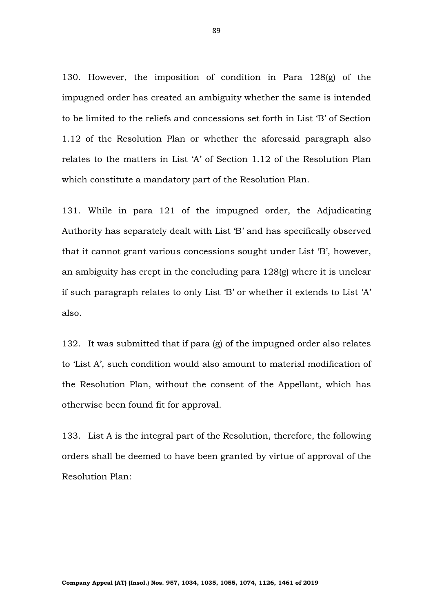130. However, the imposition of condition in Para 128(g) of the impugned order has created an ambiguity whether the same is intended to be limited to the reliefs and concessions set forth in List 'B' of Section 1.12 of the Resolution Plan or whether the aforesaid paragraph also relates to the matters in List 'A' of Section 1.12 of the Resolution Plan which constitute a mandatory part of the Resolution Plan.

131. While in para 121 of the impugned order, the Adjudicating Authority has separately dealt with List 'B' and has specifically observed that it cannot grant various concessions sought under List 'B', however, an ambiguity has crept in the concluding para 128(g) where it is unclear if such paragraph relates to only List 'B' or whether it extends to List 'A' also.

132. It was submitted that if para (g) of the impugned order also relates to 'List A', such condition would also amount to material modification of the Resolution Plan, without the consent of the Appellant, which has otherwise been found fit for approval.

133. List A is the integral part of the Resolution, therefore, the following orders shall be deemed to have been granted by virtue of approval of the Resolution Plan: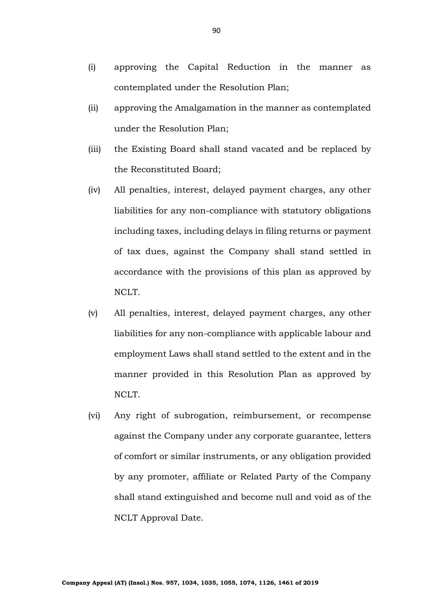- (i) approving the Capital Reduction in the manner as contemplated under the Resolution Plan;
- (ii) approving the Amalgamation in the manner as contemplated under the Resolution Plan;
- (iii) the Existing Board shall stand vacated and be replaced by the Reconstituted Board;
- (iv) All penalties, interest, delayed payment charges, any other liabilities for any non-compliance with statutory obligations including taxes, including delays in filing returns or payment of tax dues, against the Company shall stand settled in accordance with the provisions of this plan as approved by NCLT.
- (v) All penalties, interest, delayed payment charges, any other liabilities for any non-compliance with applicable labour and employment Laws shall stand settled to the extent and in the manner provided in this Resolution Plan as approved by NCLT.
- (vi) Any right of subrogation, reimbursement, or recompense against the Company under any corporate guarantee, letters of comfort or similar instruments, or any obligation provided by any promoter, affiliate or Related Party of the Company shall stand extinguished and become null and void as of the NCLT Approval Date.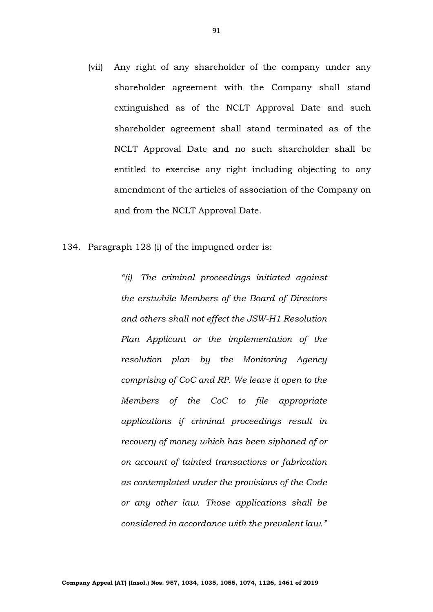- (vii) Any right of any shareholder of the company under any shareholder agreement with the Company shall stand extinguished as of the NCLT Approval Date and such shareholder agreement shall stand terminated as of the NCLT Approval Date and no such shareholder shall be entitled to exercise any right including objecting to any amendment of the articles of association of the Company on and from the NCLT Approval Date.
- 134. Paragraph 128 (i) of the impugned order is:

*"(i) The criminal proceedings initiated against the erstwhile Members of the Board of Directors and others shall not effect the JSW-H1 Resolution Plan Applicant or the implementation of the resolution plan by the Monitoring Agency comprising of CoC and RP. We leave it open to the Members of the CoC to file appropriate applications if criminal proceedings result in recovery of money which has been siphoned of or on account of tainted transactions or fabrication as contemplated under the provisions of the Code or any other law. Those applications shall be considered in accordance with the prevalent law."*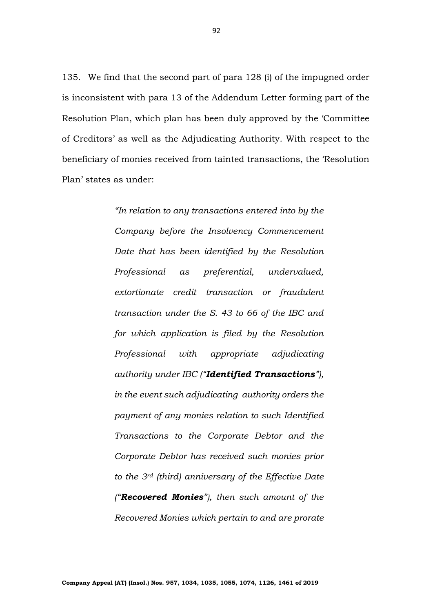135. We find that the second part of para 128 (i) of the impugned order is inconsistent with para 13 of the Addendum Letter forming part of the Resolution Plan, which plan has been duly approved by the 'Committee of Creditors' as well as the Adjudicating Authority. With respect to the beneficiary of monies received from tainted transactions, the 'Resolution Plan' states as under:

> *"In relation to any transactions entered into by the Company before the Insolvency Commencement Date that has been identified by the Resolution Professional as preferential, undervalued, extortionate credit transaction or fraudulent transaction under the S. 43 to 66 of the IBC and for which application is filed by the Resolution Professional with appropriate adjudicating authority under IBC ("Identified Transactions"), in the event such adjudicating authority orders the payment of any monies relation to such Identified Transactions to the Corporate Debtor and the Corporate Debtor has received such monies prior to the 3rd (third) anniversary of the Effective Date ("Recovered Monies"), then such amount of the Recovered Monies which pertain to and are prorate*

92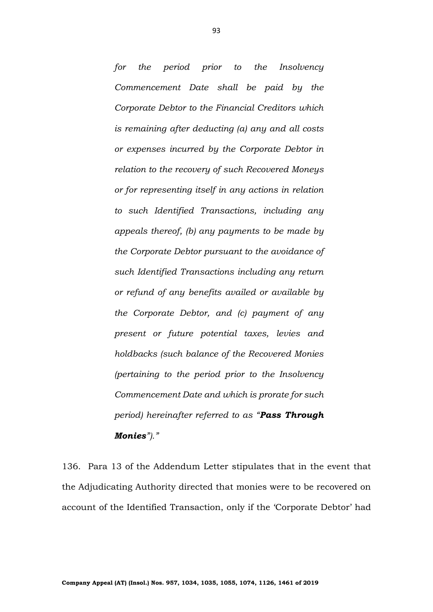*for the period prior to the Insolvency Commencement Date shall be paid by the Corporate Debtor to the Financial Creditors which is remaining after deducting (a) any and all costs or expenses incurred by the Corporate Debtor in relation to the recovery of such Recovered Moneys or for representing itself in any actions in relation to such Identified Transactions, including any appeals thereof, (b) any payments to be made by the Corporate Debtor pursuant to the avoidance of such Identified Transactions including any return or refund of any benefits availed or available by the Corporate Debtor, and (c) payment of any present or future potential taxes, levies and holdbacks (such balance of the Recovered Monies (pertaining to the period prior to the Insolvency Commencement Date and which is prorate for such period) hereinafter referred to as "Pass Through Monies")."*

136. Para 13 of the Addendum Letter stipulates that in the event that the Adjudicating Authority directed that monies were to be recovered on account of the Identified Transaction, only if the 'Corporate Debtor' had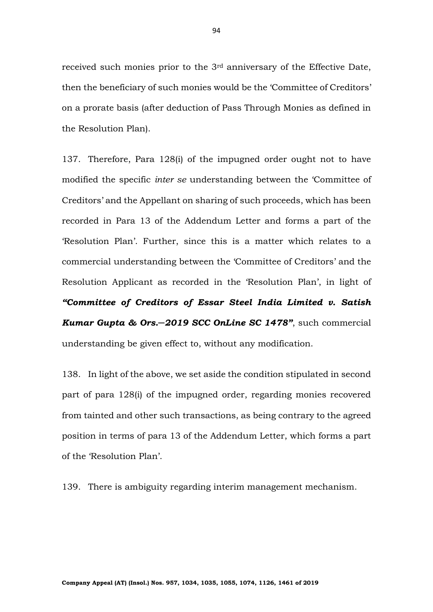received such monies prior to the 3rd anniversary of the Effective Date, then the beneficiary of such monies would be the 'Committee of Creditors' on a prorate basis (after deduction of Pass Through Monies as defined in the Resolution Plan).

137. Therefore, Para 128(i) of the impugned order ought not to have modified the specific *inter se* understanding between the 'Committee of Creditors' and the Appellant on sharing of such proceeds, which has been recorded in Para 13 of the Addendum Letter and forms a part of the 'Resolution Plan'. Further, since this is a matter which relates to a commercial understanding between the 'Committee of Creditors' and the Resolution Applicant as recorded in the 'Resolution Plan', in light of *"Committee of Creditors of Essar Steel India Limited v. Satish Kumar Gupta & Ors.─2019 SCC OnLine SC 1478"*, such commercial understanding be given effect to, without any modification.

138. In light of the above, we set aside the condition stipulated in second part of para 128(i) of the impugned order, regarding monies recovered from tainted and other such transactions, as being contrary to the agreed position in terms of para 13 of the Addendum Letter, which forms a part of the 'Resolution Plan'.

139. There is ambiguity regarding interim management mechanism.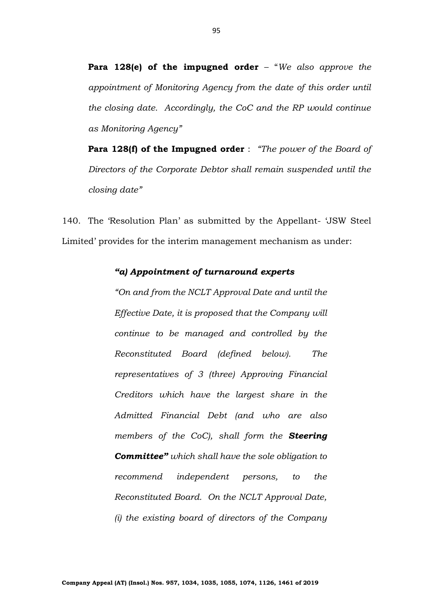**Para 128(e) of the impugned order** – "*We also approve the appointment of Monitoring Agency from the date of this order until the closing date. Accordingly, the CoC and the RP would continue as Monitoring Agency"*

**Para 128(f) of the Impugned order** : *"The power of the Board of Directors of the Corporate Debtor shall remain suspended until the closing date"*

140. The 'Resolution Plan' as submitted by the Appellant- 'JSW Steel Limited' provides for the interim management mechanism as under:

#### *"a) Appointment of turnaround experts*

*"On and from the NCLT Approval Date and until the Effective Date, it is proposed that the Company will continue to be managed and controlled by the Reconstituted Board (defined below). The representatives of 3 (three) Approving Financial Creditors which have the largest share in the Admitted Financial Debt (and who are also members of the CoC), shall form the Steering Committee" which shall have the sole obligation to recommend independent persons, to the Reconstituted Board. On the NCLT Approval Date, (i) the existing board of directors of the Company*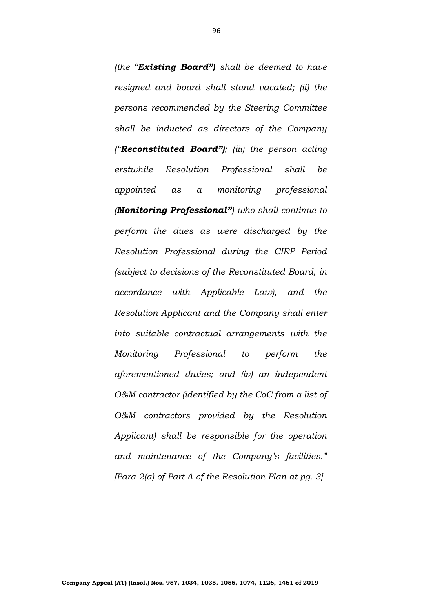*(the "Existing Board") shall be deemed to have resigned and board shall stand vacated; (ii) the persons recommended by the Steering Committee shall be inducted as directors of the Company ("Reconstituted Board"); (iii) the person acting erstwhile Resolution Professional shall be appointed as a monitoring professional (Monitoring Professional") who shall continue to perform the dues as were discharged by the Resolution Professional during the CIRP Period (subject to decisions of the Reconstituted Board, in accordance with Applicable Law), and the Resolution Applicant and the Company shall enter into suitable contractual arrangements with the Monitoring Professional to perform the aforementioned duties; and (iv) an independent O&M contractor (identified by the CoC from a list of O&M contractors provided by the Resolution Applicant) shall be responsible for the operation and maintenance of the Company's facilities." [Para 2(a) of Part A of the Resolution Plan at pg. 3]*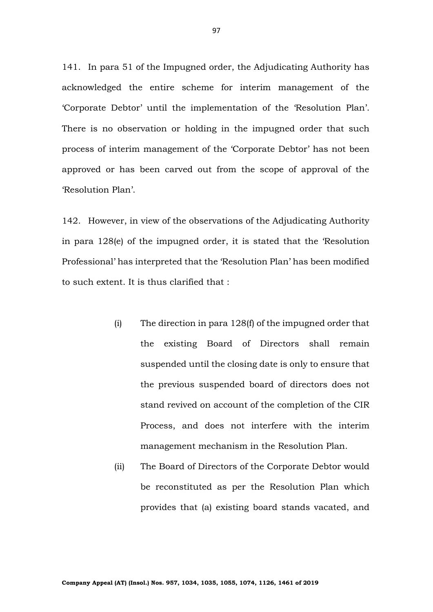141. In para 51 of the Impugned order, the Adjudicating Authority has acknowledged the entire scheme for interim management of the 'Corporate Debtor' until the implementation of the 'Resolution Plan'. There is no observation or holding in the impugned order that such process of interim management of the 'Corporate Debtor' has not been approved or has been carved out from the scope of approval of the 'Resolution Plan'.

142. However, in view of the observations of the Adjudicating Authority in para 128(e) of the impugned order, it is stated that the 'Resolution Professional' has interpreted that the 'Resolution Plan' has been modified to such extent. It is thus clarified that :

- (i) The direction in para 128(f) of the impugned order that the existing Board of Directors shall remain suspended until the closing date is only to ensure that the previous suspended board of directors does not stand revived on account of the completion of the CIR Process, and does not interfere with the interim management mechanism in the Resolution Plan.
- (ii) The Board of Directors of the Corporate Debtor would be reconstituted as per the Resolution Plan which provides that (a) existing board stands vacated, and

97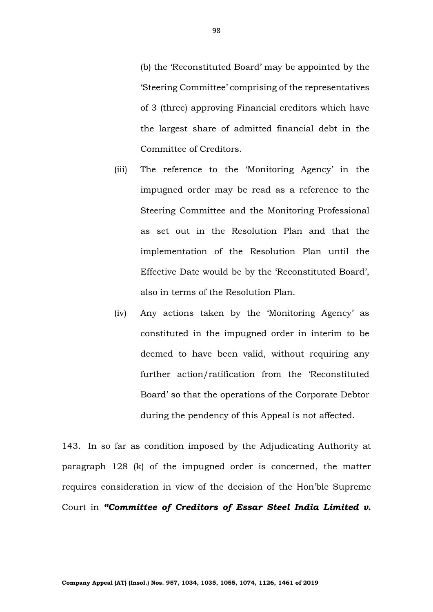(b) the 'Reconstituted Board' may be appointed by the 'Steering Committee' comprising of the representatives of 3 (three) approving Financial creditors which have the largest share of admitted financial debt in the Committee of Creditors.

- (iii) The reference to the 'Monitoring Agency' in the impugned order may be read as a reference to the Steering Committee and the Monitoring Professional as set out in the Resolution Plan and that the implementation of the Resolution Plan until the Effective Date would be by the 'Reconstituted Board', also in terms of the Resolution Plan.
- (iv) Any actions taken by the 'Monitoring Agency' as constituted in the impugned order in interim to be deemed to have been valid, without requiring any further action/ratification from the 'Reconstituted Board' so that the operations of the Corporate Debtor during the pendency of this Appeal is not affected.

143. In so far as condition imposed by the Adjudicating Authority at paragraph 128 (k) of the impugned order is concerned, the matter requires consideration in view of the decision of the Hon'ble Supreme Court in *"Committee of Creditors of Essar Steel India Limited v.*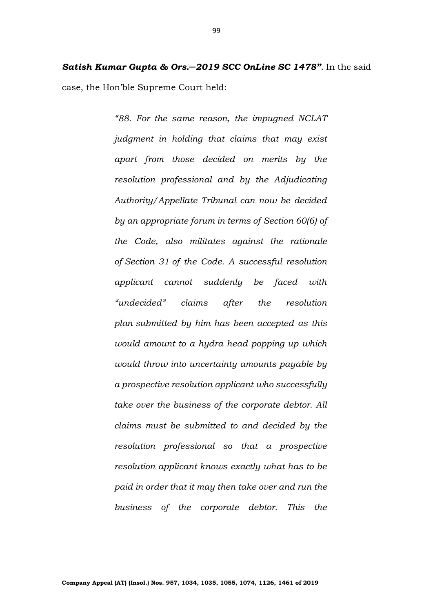*Satish Kumar Gupta & Ors.─2019 SCC OnLine SC 1478"*. In the said case, the Hon'ble Supreme Court held:

> *"88. For the same reason, the impugned NCLAT judgment in holding that claims that may exist apart from those decided on merits by the resolution professional and by the Adjudicating Authority/Appellate Tribunal can now be decided by an appropriate forum in terms of [Section 60\(6\)](https://indiankanoon.org/doc/1233094/) of the Code, also militates against the rationale of [Section 31](https://indiankanoon.org/doc/895977/) of the Code. A successful resolution applicant cannot suddenly be faced with "undecided" claims after the resolution plan submitted by him has been accepted as this would amount to a hydra head popping up which would throw into uncertainty amounts payable by a prospective resolution applicant who successfully take over the business of the corporate debtor. All claims must be submitted to and decided by the resolution professional so that a prospective resolution applicant knows exactly what has to be paid in order that it may then take over and run the business of the corporate debtor. This the*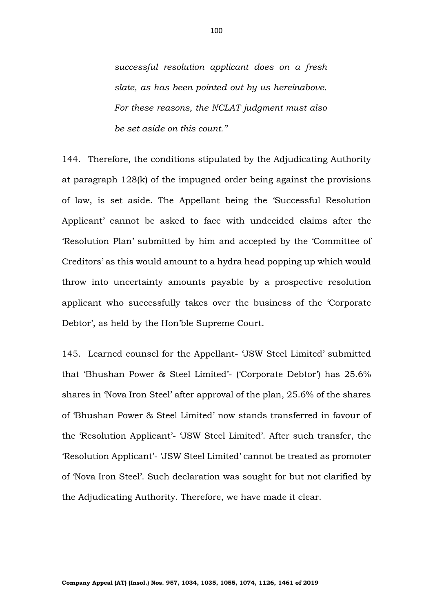*successful resolution applicant does on a fresh slate, as has been pointed out by us hereinabove. For these reasons, the NCLAT judgment must also be set aside on this count."*

144. Therefore, the conditions stipulated by the Adjudicating Authority at paragraph 128(k) of the impugned order being against the provisions of law, is set aside. The Appellant being the 'Successful Resolution Applicant' cannot be asked to face with undecided claims after the 'Resolution Plan' submitted by him and accepted by the 'Committee of Creditors' as this would amount to a hydra head popping up which would throw into uncertainty amounts payable by a prospective resolution applicant who successfully takes over the business of the 'Corporate Debtor', as held by the Hon'ble Supreme Court.

145. Learned counsel for the Appellant- 'JSW Steel Limited' submitted that 'Bhushan Power & Steel Limited'- ('Corporate Debtor') has 25.6% shares in 'Nova Iron Steel' after approval of the plan, 25.6% of the shares of 'Bhushan Power & Steel Limited' now stands transferred in favour of the 'Resolution Applicant'- 'JSW Steel Limited'. After such transfer, the 'Resolution Applicant'- 'JSW Steel Limited' cannot be treated as promoter of 'Nova Iron Steel'. Such declaration was sought for but not clarified by the Adjudicating Authority. Therefore, we have made it clear.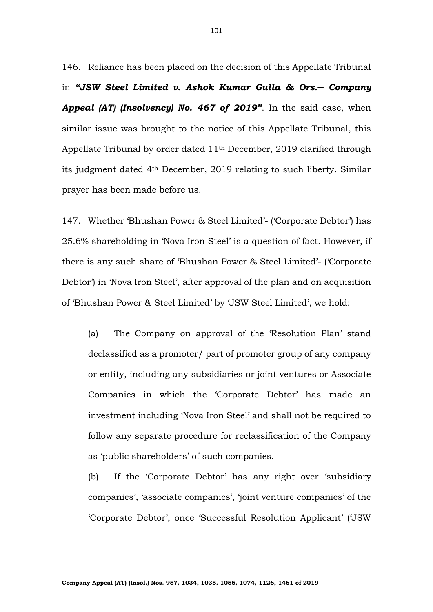146. Reliance has been placed on the decision of this Appellate Tribunal in *"JSW Steel Limited v. Ashok Kumar Gulla & Ors.─ Company Appeal (AT) (Insolvency) No. 467 of 2019"*. In the said case, when similar issue was brought to the notice of this Appellate Tribunal, this Appellate Tribunal by order dated  $11<sup>th</sup>$  December, 2019 clarified through its judgment dated 4th December, 2019 relating to such liberty. Similar prayer has been made before us.

147. Whether 'Bhushan Power & Steel Limited'- ('Corporate Debtor') has 25.6% shareholding in 'Nova Iron Steel' is a question of fact. However, if there is any such share of 'Bhushan Power & Steel Limited'- ('Corporate Debtor') in 'Nova Iron Steel', after approval of the plan and on acquisition of 'Bhushan Power & Steel Limited' by 'JSW Steel Limited', we hold:

(a) The Company on approval of the 'Resolution Plan' stand declassified as a promoter/ part of promoter group of any company or entity, including any subsidiaries or joint ventures or Associate Companies in which the 'Corporate Debtor' has made an investment including 'Nova Iron Steel' and shall not be required to follow any separate procedure for reclassification of the Company as 'public shareholders' of such companies.

(b) If the 'Corporate Debtor' has any right over 'subsidiary companies', 'associate companies', 'joint venture companies' of the 'Corporate Debtor', once 'Successful Resolution Applicant' ('JSW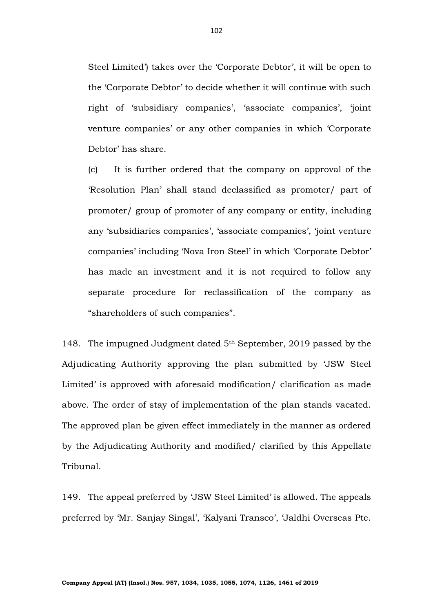Steel Limited') takes over the 'Corporate Debtor', it will be open to the 'Corporate Debtor' to decide whether it will continue with such right of 'subsidiary companies', 'associate companies', 'joint venture companies' or any other companies in which 'Corporate Debtor' has share.

(c) It is further ordered that the company on approval of the 'Resolution Plan' shall stand declassified as promoter/ part of promoter/ group of promoter of any company or entity, including any 'subsidiaries companies', 'associate companies', 'joint venture companies' including 'Nova Iron Steel' in which 'Corporate Debtor' has made an investment and it is not required to follow any separate procedure for reclassification of the company as "shareholders of such companies".

148. The impugned Judgment dated 5th September, 2019 passed by the Adjudicating Authority approving the plan submitted by 'JSW Steel Limited' is approved with aforesaid modification/ clarification as made above. The order of stay of implementation of the plan stands vacated. The approved plan be given effect immediately in the manner as ordered by the Adjudicating Authority and modified/ clarified by this Appellate Tribunal.

149. The appeal preferred by 'JSW Steel Limited' is allowed. The appeals preferred by 'Mr. Sanjay Singal', 'Kalyani Transco', 'Jaldhi Overseas Pte.